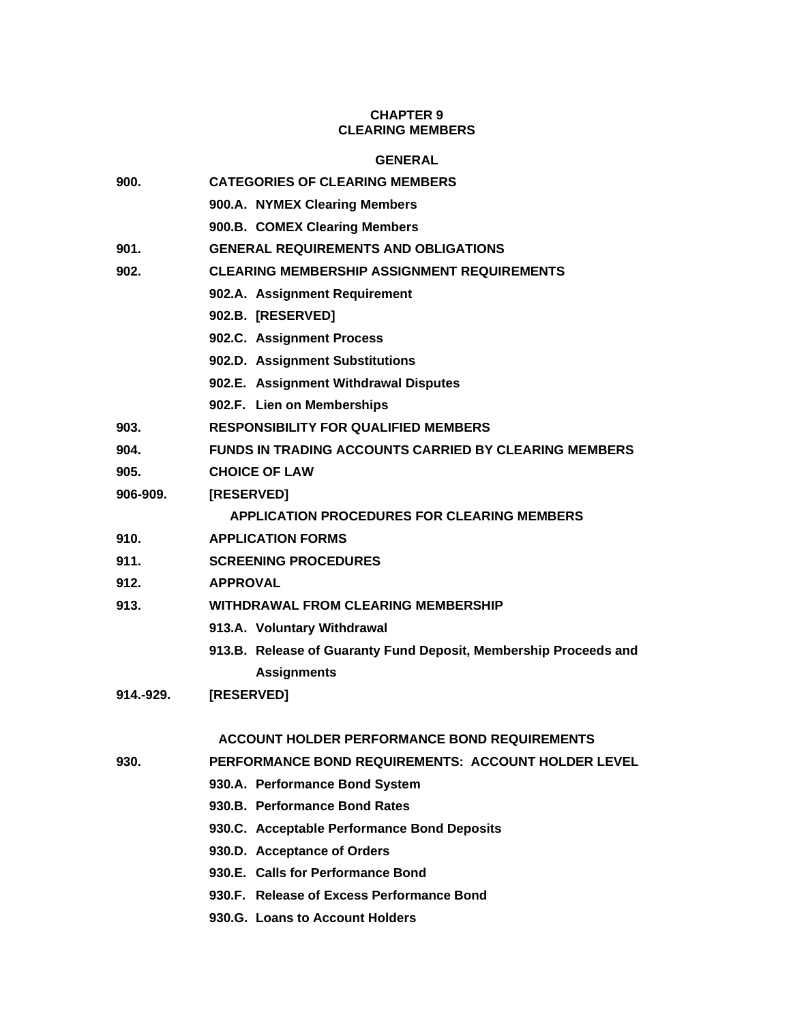# **CHAPTER 9 CLEARING MEMBERS**

# **GENERAL**

| 900.      | <b>CATEGORIES OF CLEARING MEMBERS</b>                            |
|-----------|------------------------------------------------------------------|
|           | 900.A. NYMEX Clearing Members                                    |
|           | 900.B. COMEX Clearing Members                                    |
| 901.      | <b>GENERAL REQUIREMENTS AND OBLIGATIONS</b>                      |
| 902.      | <b>CLEARING MEMBERSHIP ASSIGNMENT REQUIREMENTS</b>               |
|           | 902.A. Assignment Requirement                                    |
|           | 902.B. [RESERVED]                                                |
|           | 902.C. Assignment Process                                        |
|           | 902.D. Assignment Substitutions                                  |
|           | 902.E. Assignment Withdrawal Disputes                            |
|           | 902.F. Lien on Memberships                                       |
| 903.      | <b>RESPONSIBILITY FOR QUALIFIED MEMBERS</b>                      |
| 904.      | <b>FUNDS IN TRADING ACCOUNTS CARRIED BY CLEARING MEMBERS</b>     |
| 905.      | <b>CHOICE OF LAW</b>                                             |
| 906-909.  | [RESERVED]                                                       |
|           | <b>APPLICATION PROCEDURES FOR CLEARING MEMBERS</b>               |
| 910.      | <b>APPLICATION FORMS</b>                                         |
| 911.      | <b>SCREENING PROCEDURES</b>                                      |
| 912.      | <b>APPROVAL</b>                                                  |
| 913.      | <b>WITHDRAWAL FROM CLEARING MEMBERSHIP</b>                       |
|           | 913.A. Voluntary Withdrawal                                      |
|           | 913.B. Release of Guaranty Fund Deposit, Membership Proceeds and |
|           | <b>Assignments</b>                                               |
| 914.-929. | [RESERVED]                                                       |
|           |                                                                  |
|           | <b>ACCOUNT HOLDER PERFORMANCE BOND REQUIREMENTS</b>              |
| 930.      | PERFORMANCE BOND REQUIREMENTS: ACCOUNT HOLDER LEVEL              |
|           | 930.A. Performance Bond System                                   |
|           | 930.B. Performance Bond Rates                                    |
|           | 930.C. Acceptable Performance Bond Deposits                      |
|           | 930.D. Acceptance of Orders                                      |
|           | 930.E. Calls for Performance Bond                                |
|           | 930.F. Release of Excess Performance Bond                        |
|           |                                                                  |

**930.G. Loans to Account Holders**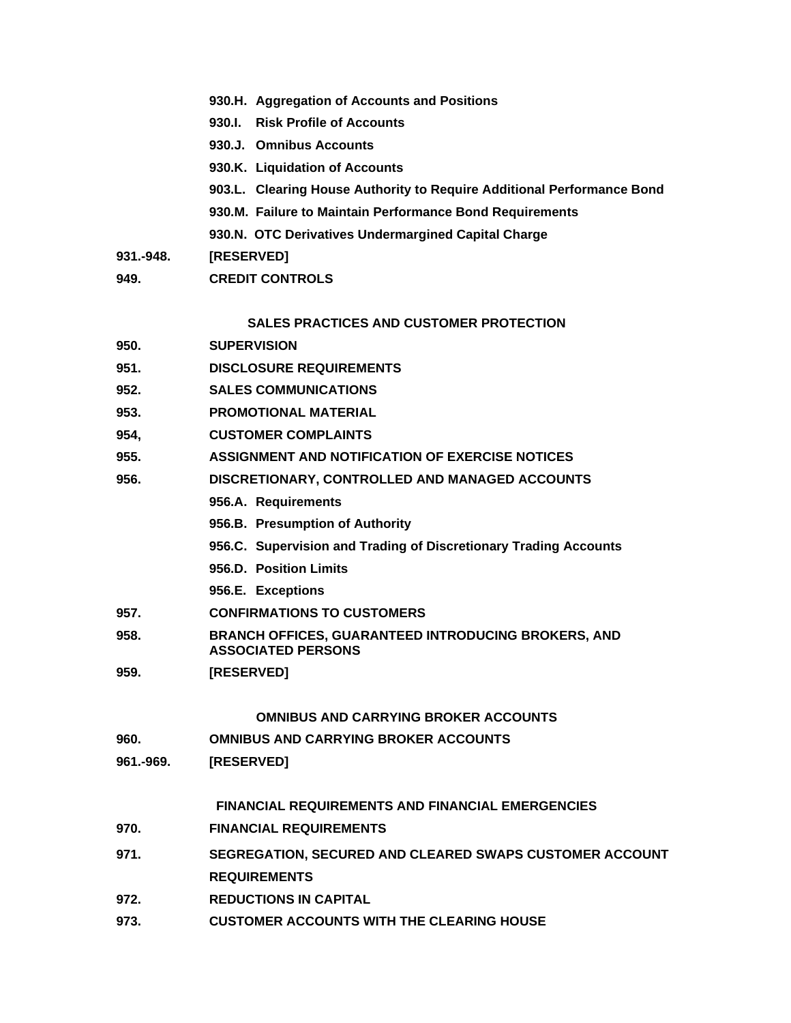- **930.H. Aggregation of Accounts and Positions**
- **930.I. Risk Profile of Accounts**
- **930.J. Omnibus Accounts**
- **930.K. Liquidation of Accounts**
- **903.L. Clearing House Authority to Require Additional Performance Bond**
- **930.M. Failure to Maintain Performance Bond Requirements**
- **930.N. OTC Derivatives Undermargined Capital Charge**
- **931.-948. [RESERVED]**
- **949. CREDIT CONTROLS**

## **SALES PRACTICES AND CUSTOMER PROTECTION**

- **950. SUPERVISION**
- **951. DISCLOSURE REQUIREMENTS**
- **952. SALES COMMUNICATIONS**
- **953. PROMOTIONAL MATERIAL**
- **954, CUSTOMER COMPLAINTS**
- **955. ASSIGNMENT AND NOTIFICATION OF EXERCISE NOTICES**
- **956. DISCRETIONARY, CONTROLLED AND MANAGED ACCOUNTS**
	- **956.A. Requirements**
	- **956.B. Presumption of Authority**
	- **956.C. Supervision and Trading of Discretionary Trading Accounts**
	- **956.D. Position Limits**
	- **956.E. Exceptions**
- **957. CONFIRMATIONS TO CUSTOMERS**
- **958. BRANCH OFFICES, GUARANTEED INTRODUCING BROKERS, AND ASSOCIATED PERSONS**
- **959. [RESERVED]**

## **OMNIBUS AND CARRYING BROKER ACCOUNTS**

- **960. OMNIBUS AND CARRYING BROKER ACCOUNTS**
- **961.-969. [RESERVED]**

**FINANCIAL REQUIREMENTS AND FINANCIAL EMERGENCIES**

- **970. FINANCIAL REQUIREMENTS**
- **971. SEGREGATION, SECURED AND CLEARED SWAPS CUSTOMER ACCOUNT REQUIREMENTS**
- **972. REDUCTIONS IN CAPITAL**
- **973. CUSTOMER ACCOUNTS WITH THE CLEARING HOUSE**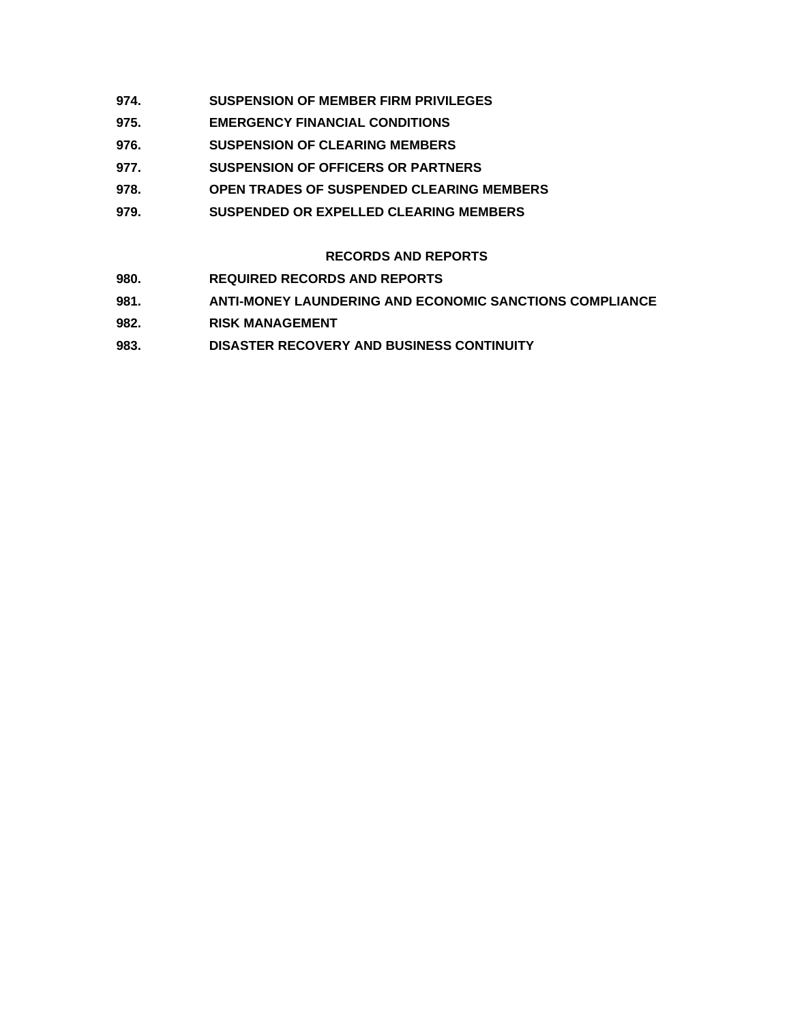- **974. SUSPENSION OF MEMBER FIRM PRIVILEGES**
- **975. EMERGENCY FINANCIAL CONDITIONS**
- **976. SUSPENSION OF CLEARING MEMBERS**
- **977. SUSPENSION OF OFFICERS OR PARTNERS**
- **978. OPEN TRADES OF SUSPENDED CLEARING MEMBERS**
- **979. SUSPENDED OR EXPELLED CLEARING MEMBERS**

# **RECORDS AND REPORTS**

- **980. REQUIRED RECORDS AND REPORTS**
- **981. ANTI-MONEY LAUNDERING AND ECONOMIC SANCTIONS COMPLIANCE**
- **982. RISK MANAGEMENT**
- **983. DISASTER RECOVERY AND BUSINESS CONTINUITY**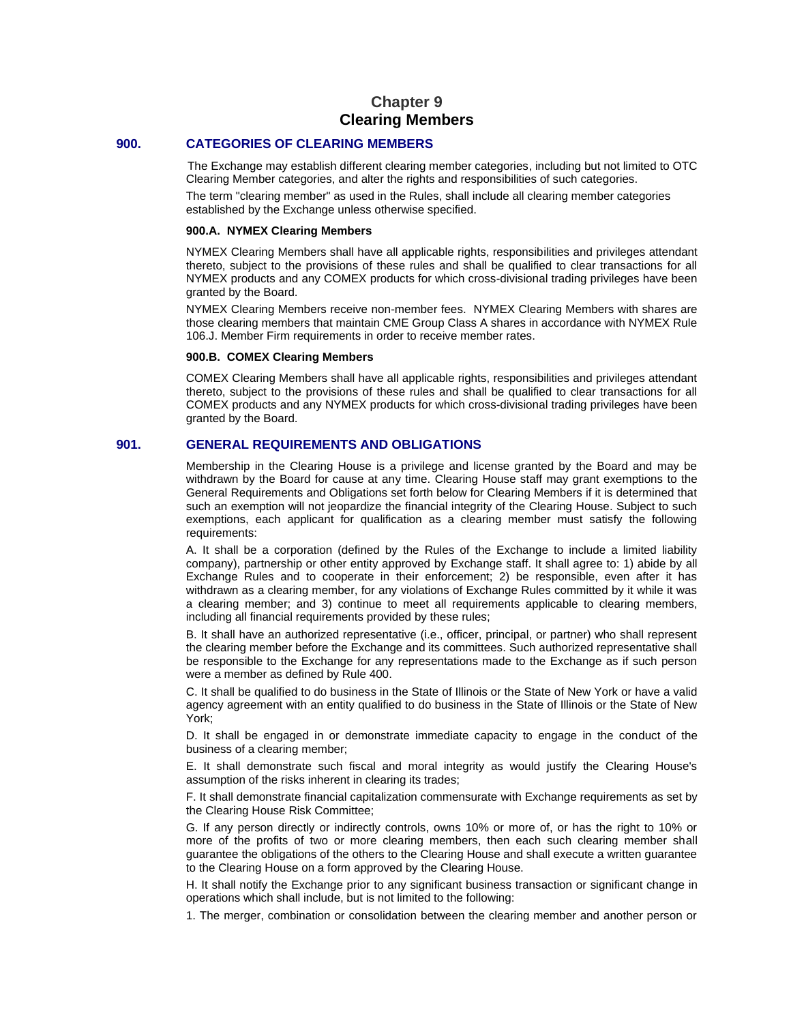# **Chapter 9 Clearing Members**

### **900. CATEGORIES OF CLEARING MEMBERS**

The Exchange may establish different clearing member categories, including but not limited to OTC Clearing Member categories, and alter the rights and responsibilities of such categories.

The term "clearing member" as used in the Rules, shall include all clearing member categories established by the Exchange unless otherwise specified.

#### **900.A. NYMEX Clearing Members**

NYMEX Clearing Members shall have all applicable rights, responsibilities and privileges attendant thereto, subject to the provisions of these rules and shall be qualified to clear transactions for all NYMEX products and any COMEX products for which cross-divisional trading privileges have been granted by the Board.

NYMEX Clearing Members receive non-member fees. NYMEX Clearing Members with shares are those clearing members that maintain CME Group Class A shares in accordance with NYMEX Rule 106.J. Member Firm requirements in order to receive member rates.

### **900.B. COMEX Clearing Members**

COMEX Clearing Members shall have all applicable rights, responsibilities and privileges attendant thereto, subject to the provisions of these rules and shall be qualified to clear transactions for all COMEX products and any NYMEX products for which cross-divisional trading privileges have been granted by the Board.

### **901. GENERAL REQUIREMENTS AND OBLIGATIONS**

Membership in the Clearing House is a privilege and license granted by the Board and may be withdrawn by the Board for cause at any time. Clearing House staff may grant exemptions to the General Requirements and Obligations set forth below for Clearing Members if it is determined that such an exemption will not jeopardize the financial integrity of the Clearing House. Subject to such exemptions, each applicant for qualification as a clearing member must satisfy the following requirements:

A. It shall be a corporation (defined by the Rules of the Exchange to include a limited liability company), partnership or other entity approved by Exchange staff. It shall agree to: 1) abide by all Exchange Rules and to cooperate in their enforcement; 2) be responsible, even after it has withdrawn as a clearing member, for any violations of Exchange Rules committed by it while it was a clearing member; and 3) continue to meet all requirements applicable to clearing members, including all financial requirements provided by these rules;

B. It shall have an authorized representative (i.e., officer, principal, or partner) who shall represent the clearing member before the Exchange and its committees. Such authorized representative shall be responsible to the Exchange for any representations made to the Exchange as if such person were a member as defined by Rule 400.

C. It shall be qualified to do business in the State of Illinois or the State of New York or have a valid agency agreement with an entity qualified to do business in the State of Illinois or the State of New York;

D. It shall be engaged in or demonstrate immediate capacity to engage in the conduct of the business of a clearing member;

E. It shall demonstrate such fiscal and moral integrity as would justify the Clearing House's assumption of the risks inherent in clearing its trades;

F. It shall demonstrate financial capitalization commensurate with Exchange requirements as set by the Clearing House Risk Committee;

G. If any person directly or indirectly controls, owns 10% or more of, or has the right to 10% or more of the profits of two or more clearing members, then each such clearing member shall guarantee the obligations of the others to the Clearing House and shall execute a written guarantee to the Clearing House on a form approved by the Clearing House.

H. It shall notify the Exchange prior to any significant business transaction or significant change in operations which shall include, but is not limited to the following:

1. The merger, combination or consolidation between the clearing member and another person or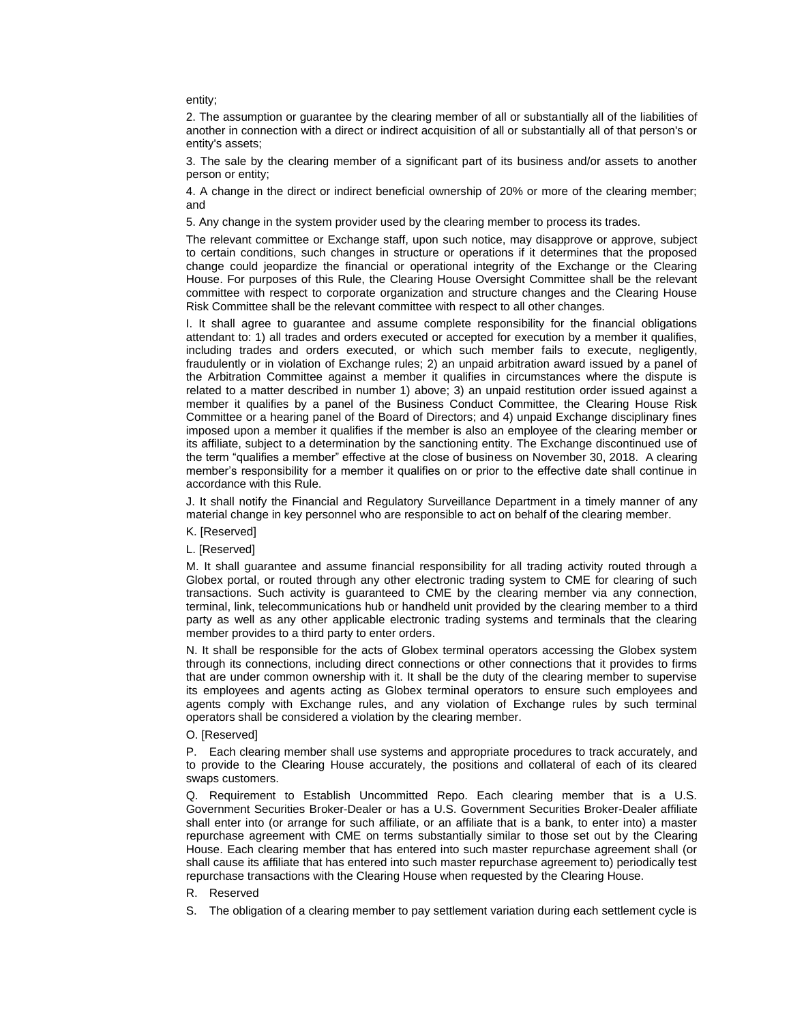entity;

2. The assumption or guarantee by the clearing member of all or substantially all of the liabilities of another in connection with a direct or indirect acquisition of all or substantially all of that person's or entity's assets;

3. The sale by the clearing member of a significant part of its business and/or assets to another person or entity;

4. A change in the direct or indirect beneficial ownership of 20% or more of the clearing member; and

5. Any change in the system provider used by the clearing member to process its trades.

The relevant committee or Exchange staff, upon such notice, may disapprove or approve, subject to certain conditions, such changes in structure or operations if it determines that the proposed change could jeopardize the financial or operational integrity of the Exchange or the Clearing House. For purposes of this Rule, the Clearing House Oversight Committee shall be the relevant committee with respect to corporate organization and structure changes and the Clearing House Risk Committee shall be the relevant committee with respect to all other changes.

I. It shall agree to guarantee and assume complete responsibility for the financial obligations attendant to: 1) all trades and orders executed or accepted for execution by a member it qualifies, including trades and orders executed, or which such member fails to execute, negligently, fraudulently or in violation of Exchange rules; 2) an unpaid arbitration award issued by a panel of the Arbitration Committee against a member it qualifies in circumstances where the dispute is related to a matter described in number 1) above; 3) an unpaid restitution order issued against a member it qualifies by a panel of the Business Conduct Committee, the Clearing House Risk Committee or a hearing panel of the Board of Directors; and 4) unpaid Exchange disciplinary fines imposed upon a member it qualifies if the member is also an employee of the clearing member or its affiliate, subject to a determination by the sanctioning entity. The Exchange discontinued use of the term "qualifies a member" effective at the close of business on November 30, 2018. A clearing member's responsibility for a member it qualifies on or prior to the effective date shall continue in accordance with this Rule.

J. It shall notify the Financial and Regulatory Surveillance Department in a timely manner of any material change in key personnel who are responsible to act on behalf of the clearing member.

### K. [Reserved]

L. [Reserved]

M. It shall guarantee and assume financial responsibility for all trading activity routed through a Globex portal, or routed through any other electronic trading system to CME for clearing of such transactions. Such activity is guaranteed to CME by the clearing member via any connection, terminal, link, telecommunications hub or handheld unit provided by the clearing member to a third party as well as any other applicable electronic trading systems and terminals that the clearing member provides to a third party to enter orders.

N. It shall be responsible for the acts of Globex terminal operators accessing the Globex system through its connections, including direct connections or other connections that it provides to firms that are under common ownership with it. It shall be the duty of the clearing member to supervise its employees and agents acting as Globex terminal operators to ensure such employees and agents comply with Exchange rules, and any violation of Exchange rules by such terminal operators shall be considered a violation by the clearing member.

#### O. [Reserved]

P. Each clearing member shall use systems and appropriate procedures to track accurately, and to provide to the Clearing House accurately, the positions and collateral of each of its cleared swaps customers.

Q. Requirement to Establish Uncommitted Repo. Each clearing member that is a U.S. Government Securities Broker-Dealer or has a U.S. Government Securities Broker-Dealer affiliate shall enter into (or arrange for such affiliate, or an affiliate that is a bank, to enter into) a master repurchase agreement with CME on terms substantially similar to those set out by the Clearing House. Each clearing member that has entered into such master repurchase agreement shall (or shall cause its affiliate that has entered into such master repurchase agreement to) periodically test repurchase transactions with the Clearing House when requested by the Clearing House.

### R. Reserved

S. The obligation of a clearing member to pay settlement variation during each settlement cycle is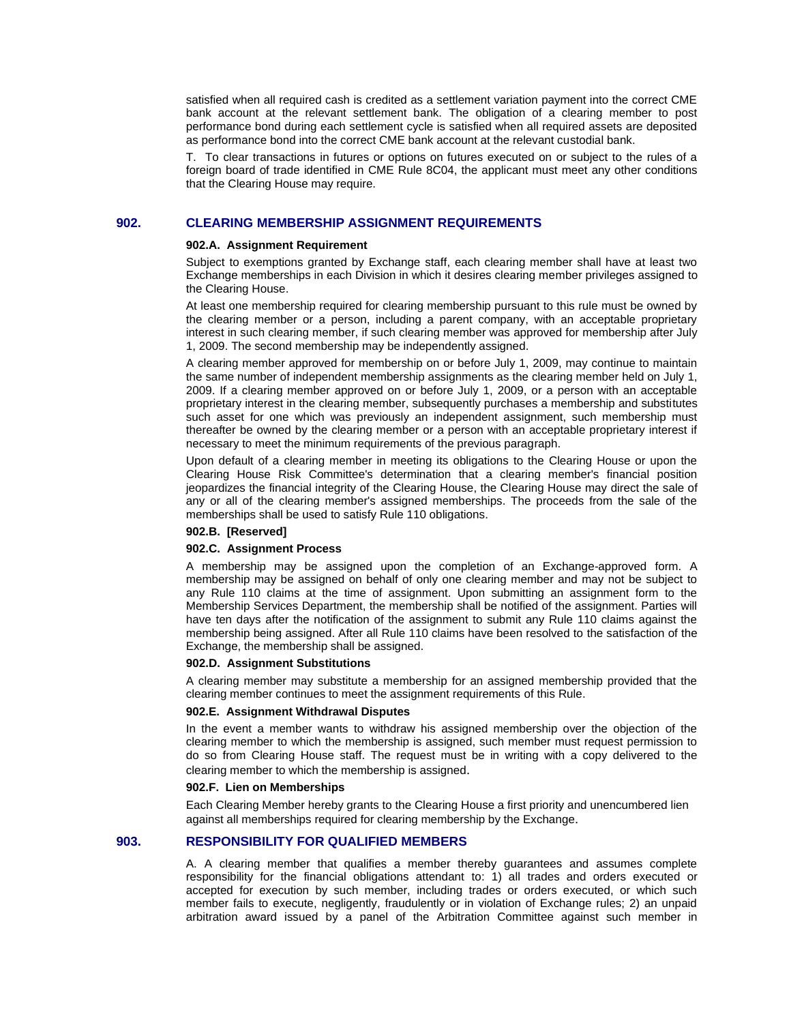satisfied when all required cash is credited as a settlement variation payment into the correct CME bank account at the relevant settlement bank. The obligation of a clearing member to post performance bond during each settlement cycle is satisfied when all required assets are deposited as performance bond into the correct CME bank account at the relevant custodial bank.

T. To clear transactions in futures or options on futures executed on or subject to the rules of a foreign board of trade identified in CME Rule 8C04, the applicant must meet any other conditions that the Clearing House may require.

## **902. CLEARING MEMBERSHIP ASSIGNMENT REQUIREMENTS**

#### **902.A. Assignment Requirement**

Subject to exemptions granted by Exchange staff, each clearing member shall have at least two Exchange memberships in each Division in which it desires clearing member privileges assigned to the Clearing House.

At least one membership required for clearing membership pursuant to this rule must be owned by the clearing member or a person, including a parent company, with an acceptable proprietary interest in such clearing member, if such clearing member was approved for membership after July 1, 2009. The second membership may be independently assigned.

A clearing member approved for membership on or before July 1, 2009, may continue to maintain the same number of independent membership assignments as the clearing member held on July 1, 2009. If a clearing member approved on or before July 1, 2009, or a person with an acceptable proprietary interest in the clearing member, subsequently purchases a membership and substitutes such asset for one which was previously an independent assignment, such membership must thereafter be owned by the clearing member or a person with an acceptable proprietary interest if necessary to meet the minimum requirements of the previous paragraph.

Upon default of a clearing member in meeting its obligations to the Clearing House or upon the Clearing House Risk Committee's determination that a clearing member's financial position jeopardizes the financial integrity of the Clearing House, the Clearing House may direct the sale of any or all of the clearing member's assigned memberships. The proceeds from the sale of the memberships shall be used to satisfy Rule 110 obligations.

#### **902.B. [Reserved]**

#### **902.C. Assignment Process**

A membership may be assigned upon the completion of an Exchange-approved form. A membership may be assigned on behalf of only one clearing member and may not be subject to any Rule 110 claims at the time of assignment. Upon submitting an assignment form to the Membership Services Department, the membership shall be notified of the assignment. Parties will have ten days after the notification of the assignment to submit any Rule 110 claims against the membership being assigned. After all Rule 110 claims have been resolved to the satisfaction of the Exchange, the membership shall be assigned.

#### **902.D. Assignment Substitutions**

A clearing member may substitute a membership for an assigned membership provided that the clearing member continues to meet the assignment requirements of this Rule.

#### **902.E. Assignment Withdrawal Disputes**

In the event a member wants to withdraw his assigned membership over the objection of the clearing member to which the membership is assigned, such member must request permission to do so from Clearing House staff. The request must be in writing with a copy delivered to the clearing member to which the membership is assigned.

#### **902.F. Lien on Memberships**

Each Clearing Member hereby grants to the Clearing House a first priority and unencumbered lien against all memberships required for clearing membership by the Exchange.

## **903. RESPONSIBILITY FOR QUALIFIED MEMBERS**

A. A clearing member that qualifies a member thereby guarantees and assumes complete responsibility for the financial obligations attendant to: 1) all trades and orders executed or accepted for execution by such member, including trades or orders executed, or which such member fails to execute, negligently, fraudulently or in violation of Exchange rules; 2) an unpaid arbitration award issued by a panel of the Arbitration Committee against such member in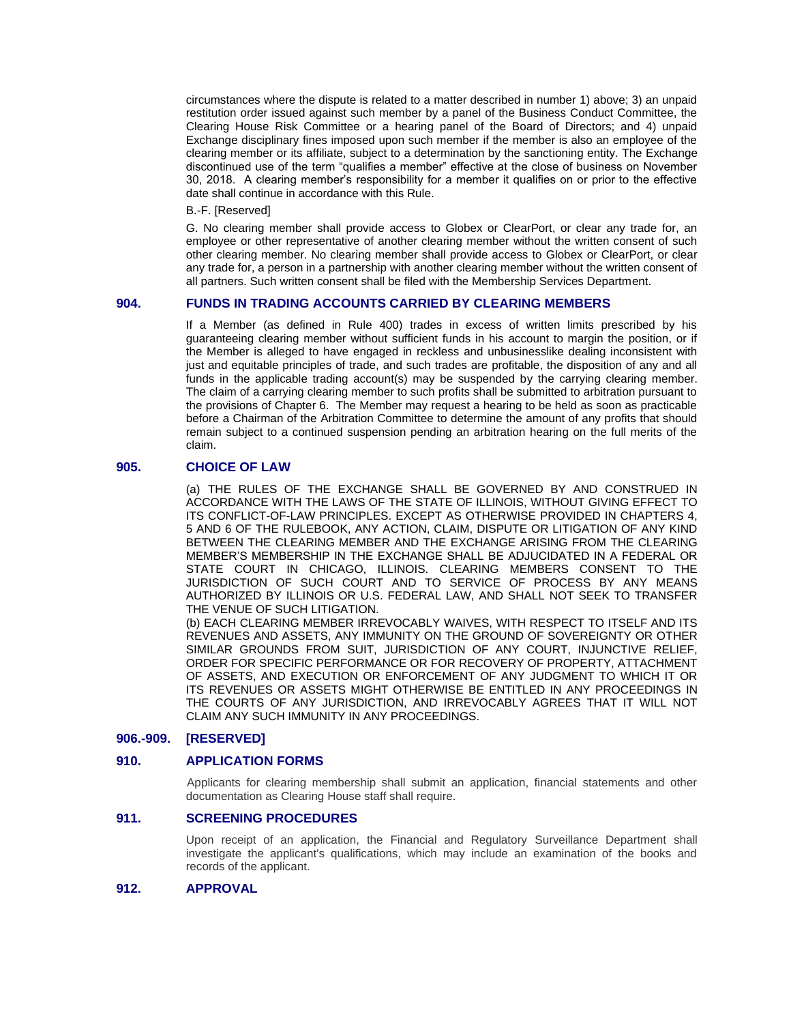circumstances where the dispute is related to a matter described in number 1) above; 3) an unpaid restitution order issued against such member by a panel of the Business Conduct Committee, the Clearing House Risk Committee or a hearing panel of the Board of Directors; and 4) unpaid Exchange disciplinary fines imposed upon such member if the member is also an employee of the clearing member or its affiliate, subject to a determination by the sanctioning entity. The Exchange discontinued use of the term "qualifies a member" effective at the close of business on November 30, 2018. A clearing member's responsibility for a member it qualifies on or prior to the effective date shall continue in accordance with this Rule.

B.-F. [Reserved]

G. No clearing member shall provide access to Globex or ClearPort, or clear any trade for, an employee or other representative of another clearing member without the written consent of such other clearing member. No clearing member shall provide access to Globex or ClearPort, or clear any trade for, a person in a partnership with another clearing member without the written consent of all partners. Such written consent shall be filed with the Membership Services Department.

### **904. FUNDS IN TRADING ACCOUNTS CARRIED BY CLEARING MEMBERS**

If a Member (as defined in Rule 400) trades in excess of written limits prescribed by his guaranteeing clearing member without sufficient funds in his account to margin the position, or if the Member is alleged to have engaged in reckless and unbusinesslike dealing inconsistent with just and equitable principles of trade, and such trades are profitable, the disposition of any and all funds in the applicable trading account(s) may be suspended by the carrying clearing member. The claim of a carrying clearing member to such profits shall be submitted to arbitration pursuant to the provisions of Chapter 6. The Member may request a hearing to be held as soon as practicable before a Chairman of the Arbitration Committee to determine the amount of any profits that should remain subject to a continued suspension pending an arbitration hearing on the full merits of the claim.

## **905. CHOICE OF LAW**

(a) THE RULES OF THE EXCHANGE SHALL BE GOVERNED BY AND CONSTRUED IN ACCORDANCE WITH THE LAWS OF THE STATE OF ILLINOIS, WITHOUT GIVING EFFECT TO ITS CONFLICT-OF-LAW PRINCIPLES. EXCEPT AS OTHERWISE PROVIDED IN CHAPTERS 4, 5 AND 6 OF THE RULEBOOK, ANY ACTION, CLAIM, DISPUTE OR LITIGATION OF ANY KIND BETWEEN THE CLEARING MEMBER AND THE EXCHANGE ARISING FROM THE CLEARING MEMBER'S MEMBERSHIP IN THE EXCHANGE SHALL BE ADJUCIDATED IN A FEDERAL OR STATE COURT IN CHICAGO, ILLINOIS. CLEARING MEMBERS CONSENT TO THE JURISDICTION OF SUCH COURT AND TO SERVICE OF PROCESS BY ANY MEANS AUTHORIZED BY ILLINOIS OR U.S. FEDERAL LAW, AND SHALL NOT SEEK TO TRANSFER THE VENUE OF SUCH LITIGATION.

(b) EACH CLEARING MEMBER IRREVOCABLY WAIVES, WITH RESPECT TO ITSELF AND ITS REVENUES AND ASSETS, ANY IMMUNITY ON THE GROUND OF SOVEREIGNTY OR OTHER SIMILAR GROUNDS FROM SUIT, JURISDICTION OF ANY COURT, INJUNCTIVE RELIEF, ORDER FOR SPECIFIC PERFORMANCE OR FOR RECOVERY OF PROPERTY, ATTACHMENT OF ASSETS, AND EXECUTION OR ENFORCEMENT OF ANY JUDGMENT TO WHICH IT OR ITS REVENUES OR ASSETS MIGHT OTHERWISE BE ENTITLED IN ANY PROCEEDINGS IN THE COURTS OF ANY JURISDICTION, AND IRREVOCABLY AGREES THAT IT WILL NOT CLAIM ANY SUCH IMMUNITY IN ANY PROCEEDINGS.

## **906.-909. [RESERVED]**

## **910. APPLICATION FORMS**

Applicants for clearing membership shall submit an application, financial statements and other documentation as Clearing House staff shall require.

## **911. SCREENING PROCEDURES**

Upon receipt of an application, the Financial and Regulatory Surveillance Department shall investigate the applicant's qualifications, which may include an examination of the books and records of the applicant.

## **912. APPROVAL**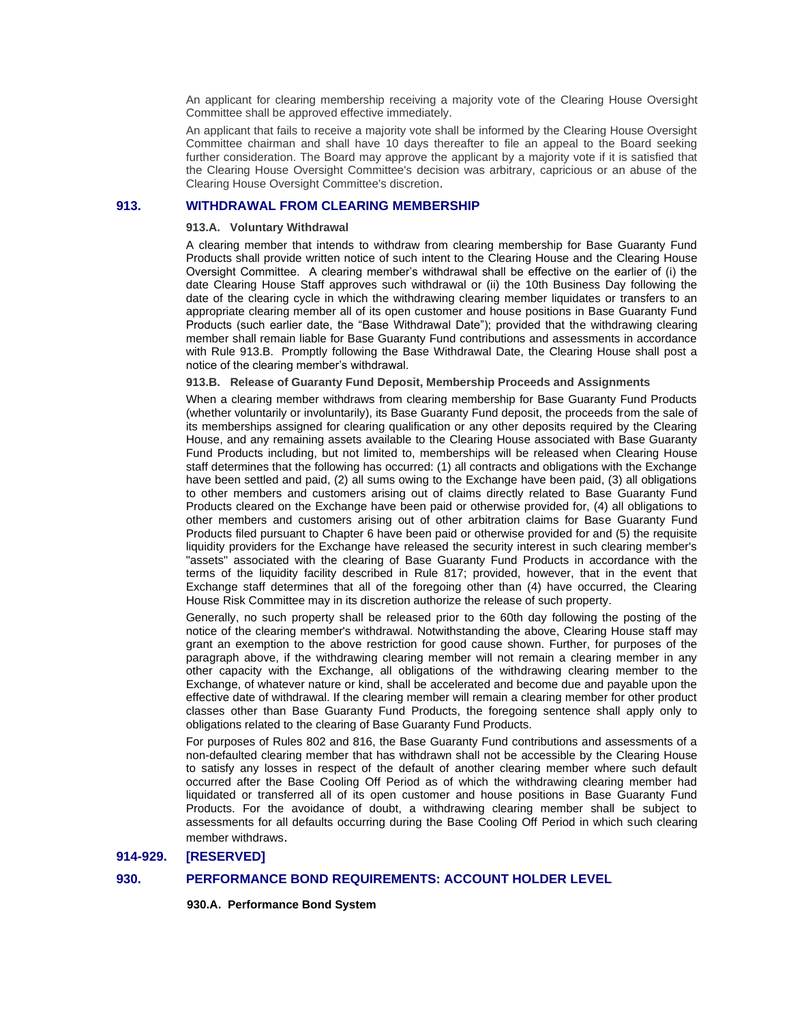An applicant for clearing membership receiving a majority vote of the Clearing House Oversight Committee shall be approved effective immediately.

An applicant that fails to receive a majority vote shall be informed by the Clearing House Oversight Committee chairman and shall have 10 days thereafter to file an appeal to the Board seeking further consideration. The Board may approve the applicant by a majority vote if it is satisfied that the Clearing House Oversight Committee's decision was arbitrary, capricious or an abuse of the Clearing House Oversight Committee's discretion.

## **913. WITHDRAWAL FROM CLEARING MEMBERSHIP**

### **913.A. Voluntary Withdrawal**

A clearing member that intends to withdraw from clearing membership for Base Guaranty Fund Products shall provide written notice of such intent to the Clearing House and the Clearing House Oversight Committee. A clearing member's withdrawal shall be effective on the earlier of (i) the date Clearing House Staff approves such withdrawal or (ii) the 10th Business Day following the date of the clearing cycle in which the withdrawing clearing member liquidates or transfers to an appropriate clearing member all of its open customer and house positions in Base Guaranty Fund Products (such earlier date, the "Base Withdrawal Date"); provided that the withdrawing clearing member shall remain liable for Base Guaranty Fund contributions and assessments in accordance with Rule 913.B. Promptly following the Base Withdrawal Date, the Clearing House shall post a notice of the clearing member's withdrawal.

### **913.B. Release of Guaranty Fund Deposit, Membership Proceeds and Assignments**

When a clearing member withdraws from clearing membership for Base Guaranty Fund Products (whether voluntarily or involuntarily), its Base Guaranty Fund deposit, the proceeds from the sale of its memberships assigned for clearing qualification or any other deposits required by the Clearing House, and any remaining assets available to the Clearing House associated with Base Guaranty Fund Products including, but not limited to, memberships will be released when Clearing House staff determines that the following has occurred: (1) all contracts and obligations with the Exchange have been settled and paid, (2) all sums owing to the Exchange have been paid, (3) all obligations to other members and customers arising out of claims directly related to Base Guaranty Fund Products cleared on the Exchange have been paid or otherwise provided for, (4) all obligations to other members and customers arising out of other arbitration claims for Base Guaranty Fund Products filed pursuant to Chapter 6 have been paid or otherwise provided for and (5) the requisite liquidity providers for the Exchange have released the security interest in such clearing member's "assets" associated with the clearing of Base Guaranty Fund Products in accordance with the terms of the liquidity facility described in Rule 817; provided, however, that in the event that Exchange staff determines that all of the foregoing other than (4) have occurred, the Clearing House Risk Committee may in its discretion authorize the release of such property.

Generally, no such property shall be released prior to the 60th day following the posting of the notice of the clearing member's withdrawal. Notwithstanding the above, Clearing House staff may grant an exemption to the above restriction for good cause shown. Further, for purposes of the paragraph above, if the withdrawing clearing member will not remain a clearing member in any other capacity with the Exchange, all obligations of the withdrawing clearing member to the Exchange, of whatever nature or kind, shall be accelerated and become due and payable upon the effective date of withdrawal. If the clearing member will remain a clearing member for other product classes other than Base Guaranty Fund Products, the foregoing sentence shall apply only to obligations related to the clearing of Base Guaranty Fund Products.

For purposes of Rules 802 and 816, the Base Guaranty Fund contributions and assessments of a non-defaulted clearing member that has withdrawn shall not be accessible by the Clearing House to satisfy any losses in respect of the default of another clearing member where such default occurred after the Base Cooling Off Period as of which the withdrawing clearing member had liquidated or transferred all of its open customer and house positions in Base Guaranty Fund Products. For the avoidance of doubt, a withdrawing clearing member shall be subject to assessments for all defaults occurring during the Base Cooling Off Period in which such clearing member withdraws.

### **914-929. [RESERVED]**

#### **930. PERFORMANCE BOND REQUIREMENTS: ACCOUNT HOLDER LEVEL**

**930.A. Performance Bond System**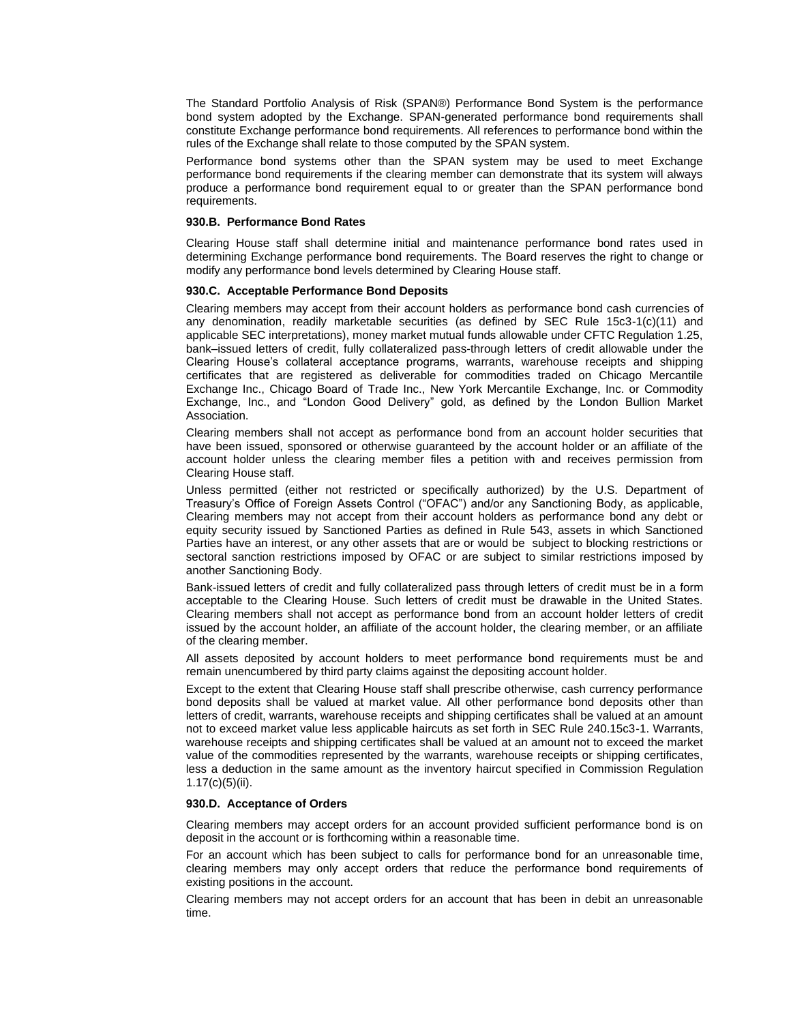The Standard Portfolio Analysis of Risk (SPAN®) Performance Bond System is the performance bond system adopted by the Exchange. SPAN-generated performance bond requirements shall constitute Exchange performance bond requirements. All references to performance bond within the rules of the Exchange shall relate to those computed by the SPAN system.

Performance bond systems other than the SPAN system may be used to meet Exchange performance bond requirements if the clearing member can demonstrate that its system will always produce a performance bond requirement equal to or greater than the SPAN performance bond requirements.

### **930.B. Performance Bond Rates**

Clearing House staff shall determine initial and maintenance performance bond rates used in determining Exchange performance bond requirements. The Board reserves the right to change or modify any performance bond levels determined by Clearing House staff.

#### **930.C. Acceptable Performance Bond Deposits**

Clearing members may accept from their account holders as performance bond cash currencies of any denomination, readily marketable securities (as defined by SEC Rule 15c3-1(c)(11) and applicable SEC interpretations), money market mutual funds allowable under CFTC Regulation 1.25, bank–issued letters of credit, fully collateralized pass-through letters of credit allowable under the Clearing House's collateral acceptance programs, warrants, warehouse receipts and shipping certificates that are registered as deliverable for commodities traded on Chicago Mercantile Exchange Inc., Chicago Board of Trade Inc., New York Mercantile Exchange, Inc. or Commodity Exchange, Inc., and "London Good Delivery" gold, as defined by the London Bullion Market Association.

Clearing members shall not accept as performance bond from an account holder securities that have been issued, sponsored or otherwise guaranteed by the account holder or an affiliate of the account holder unless the clearing member files a petition with and receives permission from Clearing House staff.

Unless permitted (either not restricted or specifically authorized) by the U.S. Department of Treasury's Office of Foreign Assets Control ("OFAC") and/or any Sanctioning Body, as applicable, Clearing members may not accept from their account holders as performance bond any debt or equity security issued by Sanctioned Parties as defined in Rule 543, assets in which Sanctioned Parties have an interest, or any other assets that are or would be subject to blocking restrictions or sectoral sanction restrictions imposed by OFAC or are subject to similar restrictions imposed by another Sanctioning Body.

Bank-issued letters of credit and fully collateralized pass through letters of credit must be in a form acceptable to the Clearing House. Such letters of credit must be drawable in the United States. Clearing members shall not accept as performance bond from an account holder letters of credit issued by the account holder, an affiliate of the account holder, the clearing member, or an affiliate of the clearing member.

All assets deposited by account holders to meet performance bond requirements must be and remain unencumbered by third party claims against the depositing account holder.

Except to the extent that Clearing House staff shall prescribe otherwise, cash currency performance bond deposits shall be valued at market value. All other performance bond deposits other than letters of credit, warrants, warehouse receipts and shipping certificates shall be valued at an amount not to exceed market value less applicable haircuts as set forth in SEC Rule 240.15c3-1. Warrants, warehouse receipts and shipping certificates shall be valued at an amount not to exceed the market value of the commodities represented by the warrants, warehouse receipts or shipping certificates, less a deduction in the same amount as the inventory haircut specified in Commission Regulation  $1.17(c)(5)(ii)$ .

#### **930.D. Acceptance of Orders**

Clearing members may accept orders for an account provided sufficient performance bond is on deposit in the account or is forthcoming within a reasonable time.

For an account which has been subject to calls for performance bond for an unreasonable time, clearing members may only accept orders that reduce the performance bond requirements of existing positions in the account.

Clearing members may not accept orders for an account that has been in debit an unreasonable time.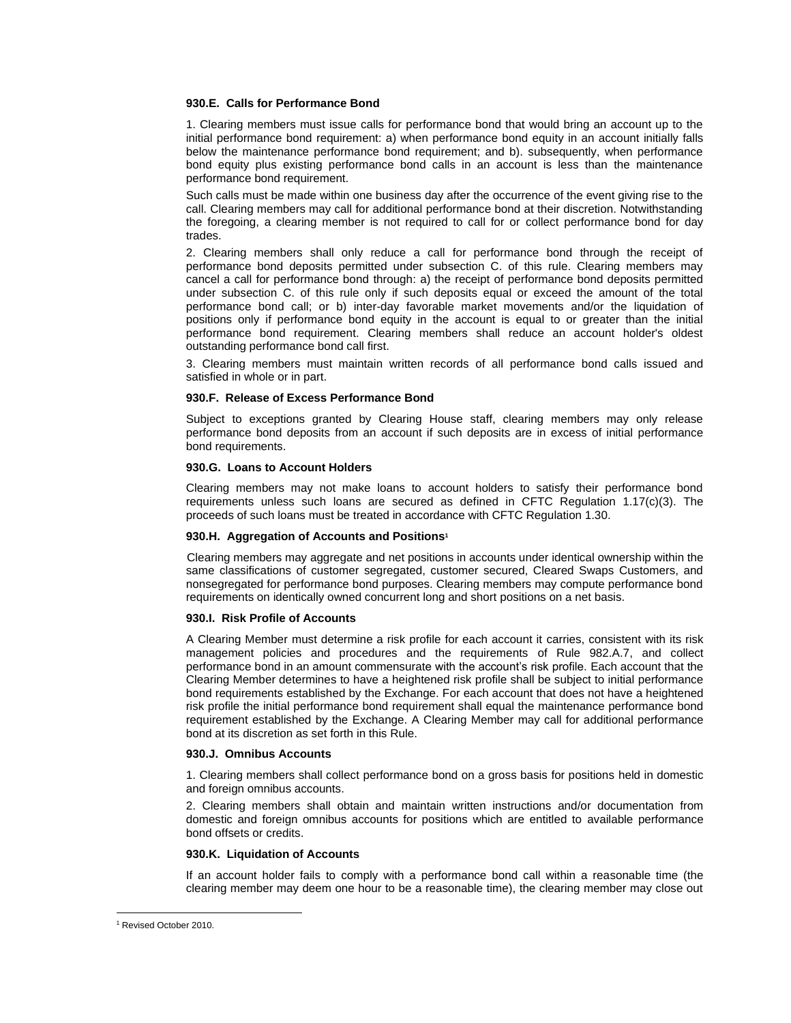### **930.E. Calls for Performance Bond**

1. Clearing members must issue calls for performance bond that would bring an account up to the initial performance bond requirement: a) when performance bond equity in an account initially falls below the maintenance performance bond requirement; and b). subsequently, when performance bond equity plus existing performance bond calls in an account is less than the maintenance performance bond requirement.

Such calls must be made within one business day after the occurrence of the event giving rise to the call. Clearing members may call for additional performance bond at their discretion. Notwithstanding the foregoing, a clearing member is not required to call for or collect performance bond for day trades.

2. Clearing members shall only reduce a call for performance bond through the receipt of performance bond deposits permitted under subsection C. of this rule. Clearing members may cancel a call for performance bond through: a) the receipt of performance bond deposits permitted under subsection C. of this rule only if such deposits equal or exceed the amount of the total performance bond call; or b) inter-day favorable market movements and/or the liquidation of positions only if performance bond equity in the account is equal to or greater than the initial performance bond requirement. Clearing members shall reduce an account holder's oldest outstanding performance bond call first.

3. Clearing members must maintain written records of all performance bond calls issued and satisfied in whole or in part.

#### **930.F. Release of Excess Performance Bond**

Subject to exceptions granted by Clearing House staff, clearing members may only release performance bond deposits from an account if such deposits are in excess of initial performance bond requirements.

### **930.G. Loans to Account Holders**

Clearing members may not make loans to account holders to satisfy their performance bond requirements unless such loans are secured as defined in CFTC Regulation 1.17(c)(3). The proceeds of such loans must be treated in accordance with CFTC Regulation 1.30.

#### **930.H. Aggregation of Accounts and Positions<sup>1</sup>**

Clearing members may aggregate and net positions in accounts under identical ownership within the same classifications of customer segregated, customer secured, Cleared Swaps Customers, and nonsegregated for performance bond purposes. Clearing members may compute performance bond requirements on identically owned concurrent long and short positions on a net basis.

### **930.I. Risk Profile of Accounts**

A Clearing Member must determine a risk profile for each account it carries, consistent with its risk management policies and procedures and the requirements of Rule 982.A.7, and collect performance bond in an amount commensurate with the account's risk profile. Each account that the Clearing Member determines to have a heightened risk profile shall be subject to initial performance bond requirements established by the Exchange. For each account that does not have a heightened risk profile the initial performance bond requirement shall equal the maintenance performance bond requirement established by the Exchange. A Clearing Member may call for additional performance bond at its discretion as set forth in this Rule.

### **930.J. Omnibus Accounts**

1. Clearing members shall collect performance bond on a gross basis for positions held in domestic and foreign omnibus accounts.

2. Clearing members shall obtain and maintain written instructions and/or documentation from domestic and foreign omnibus accounts for positions which are entitled to available performance bond offsets or credits.

#### **930.K. Liquidation of Accounts**

If an account holder fails to comply with a performance bond call within a reasonable time (the clearing member may deem one hour to be a reasonable time), the clearing member may close out

<sup>1</sup> Revised October 2010.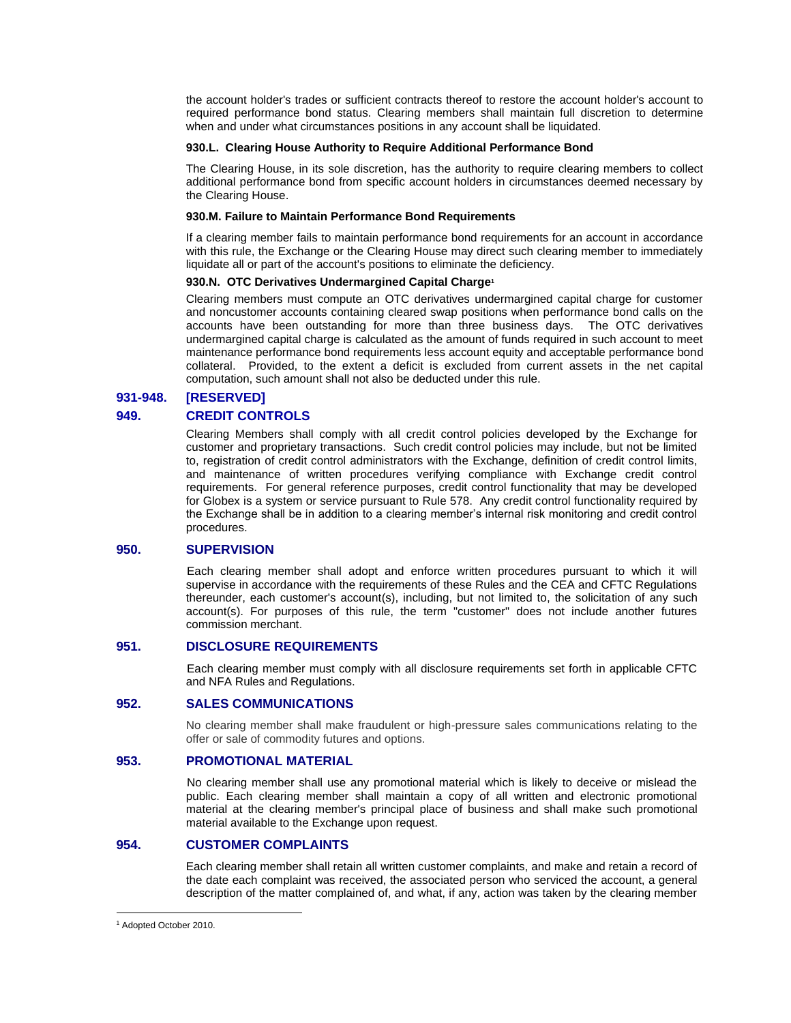the account holder's trades or sufficient contracts thereof to restore the account holder's account to required performance bond status. Clearing members shall maintain full discretion to determine when and under what circumstances positions in any account shall be liquidated.

### **930.L. Clearing House Authority to Require Additional Performance Bond**

The Clearing House, in its sole discretion, has the authority to require clearing members to collect additional performance bond from specific account holders in circumstances deemed necessary by the Clearing House.

### **930.M. Failure to Maintain Performance Bond Requirements**

If a clearing member fails to maintain performance bond requirements for an account in accordance with this rule, the Exchange or the Clearing House may direct such clearing member to immediately liquidate all or part of the account's positions to eliminate the deficiency.

### **930.N. OTC Derivatives Undermargined Capital Charge<sup>1</sup>**

Clearing members must compute an OTC derivatives undermargined capital charge for customer and noncustomer accounts containing cleared swap positions when performance bond calls on the accounts have been outstanding for more than three business days. The OTC derivatives undermargined capital charge is calculated as the amount of funds required in such account to meet maintenance performance bond requirements less account equity and acceptable performance bond collateral. Provided, to the extent a deficit is excluded from current assets in the net capital computation, such amount shall not also be deducted under this rule.

## **931-948. [RESERVED]**

## **949. CREDIT CONTROLS**

Clearing Members shall comply with all credit control policies developed by the Exchange for customer and proprietary transactions. Such credit control policies may include, but not be limited to, registration of credit control administrators with the Exchange, definition of credit control limits, and maintenance of written procedures verifying compliance with Exchange credit control requirements. For general reference purposes, credit control functionality that may be developed for Globex is a system or service pursuant to Rule 578. Any credit control functionality required by the Exchange shall be in addition to a clearing member's internal risk monitoring and credit control procedures.

### **950. SUPERVISION**

Each clearing member shall adopt and enforce written procedures pursuant to which it will supervise in accordance with the requirements of these Rules and the CEA and CFTC Regulations thereunder, each customer's account(s), including, but not limited to, the solicitation of any such account(s). For purposes of this rule, the term "customer" does not include another futures commission merchant.

## **951. DISCLOSURE REQUIREMENTS**

Each clearing member must comply with all disclosure requirements set forth in applicable CFTC and NFA Rules and Regulations.

### **952. SALES COMMUNICATIONS**

No clearing member shall make fraudulent or high-pressure sales communications relating to the offer or sale of commodity futures and options.

## **953. PROMOTIONAL MATERIAL**

No clearing member shall use any promotional material which is likely to deceive or mislead the public. Each clearing member shall maintain a copy of all written and electronic promotional material at the clearing member's principal place of business and shall make such promotional material available to the Exchange upon request.

## **954. CUSTOMER COMPLAINTS**

Each clearing member shall retain all written customer complaints, and make and retain a record of the date each complaint was received, the associated person who serviced the account, a general description of the matter complained of, and what, if any, action was taken by the clearing member

<sup>1</sup> Adopted October 2010.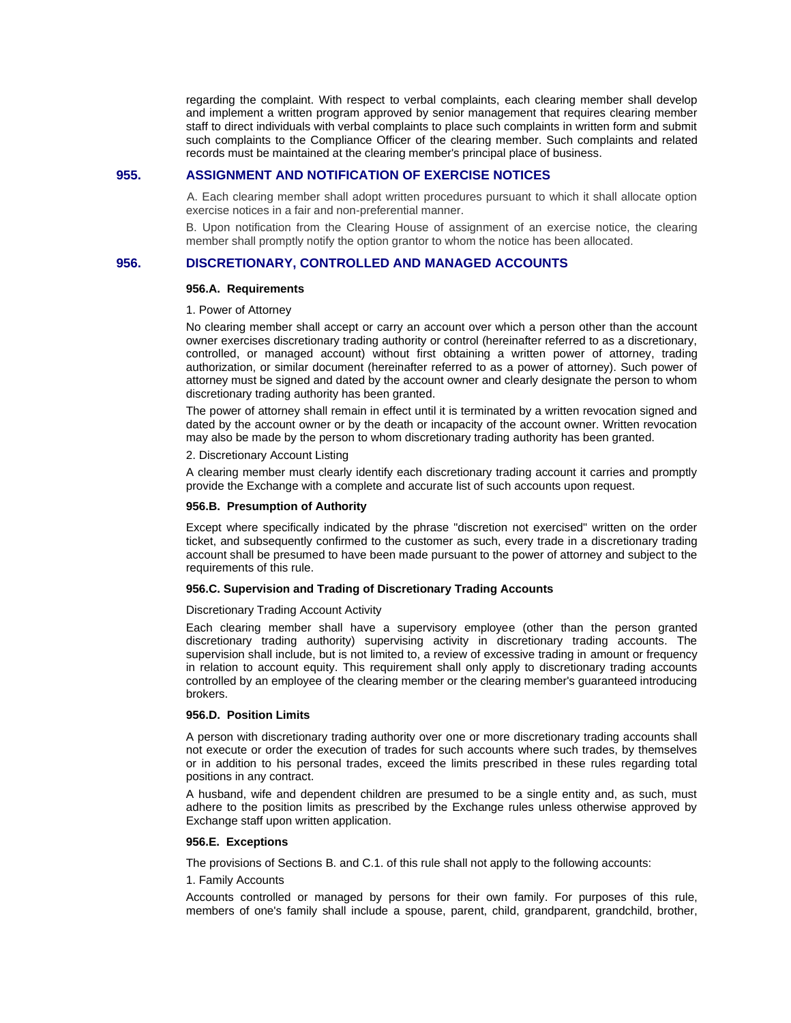regarding the complaint. With respect to verbal complaints, each clearing member shall develop and implement a written program approved by senior management that requires clearing member staff to direct individuals with verbal complaints to place such complaints in written form and submit such complaints to the Compliance Officer of the clearing member. Such complaints and related records must be maintained at the clearing member's principal place of business.

### **955. ASSIGNMENT AND NOTIFICATION OF EXERCISE NOTICES**

A. Each clearing member shall adopt written procedures pursuant to which it shall allocate option exercise notices in a fair and non-preferential manner.

B. Upon notification from the Clearing House of assignment of an exercise notice, the clearing member shall promptly notify the option grantor to whom the notice has been allocated.

### **956. DISCRETIONARY, CONTROLLED AND MANAGED ACCOUNTS**

#### **956.A. Requirements**

#### 1. Power of Attorney

No clearing member shall accept or carry an account over which a person other than the account owner exercises discretionary trading authority or control (hereinafter referred to as a discretionary, controlled, or managed account) without first obtaining a written power of attorney, trading authorization, or similar document (hereinafter referred to as a power of attorney). Such power of attorney must be signed and dated by the account owner and clearly designate the person to whom discretionary trading authority has been granted.

The power of attorney shall remain in effect until it is terminated by a written revocation signed and dated by the account owner or by the death or incapacity of the account owner. Written revocation may also be made by the person to whom discretionary trading authority has been granted.

### 2. Discretionary Account Listing

A clearing member must clearly identify each discretionary trading account it carries and promptly provide the Exchange with a complete and accurate list of such accounts upon request.

### **956.B. Presumption of Authority**

Except where specifically indicated by the phrase "discretion not exercised" written on the order ticket, and subsequently confirmed to the customer as such, every trade in a discretionary trading account shall be presumed to have been made pursuant to the power of attorney and subject to the requirements of this rule.

### **956.C. Supervision and Trading of Discretionary Trading Accounts**

#### Discretionary Trading Account Activity

Each clearing member shall have a supervisory employee (other than the person granted discretionary trading authority) supervising activity in discretionary trading accounts. The supervision shall include, but is not limited to, a review of excessive trading in amount or frequency in relation to account equity. This requirement shall only apply to discretionary trading accounts controlled by an employee of the clearing member or the clearing member's guaranteed introducing brokers.

### **956.D. Position Limits**

A person with discretionary trading authority over one or more discretionary trading accounts shall not execute or order the execution of trades for such accounts where such trades, by themselves or in addition to his personal trades, exceed the limits prescribed in these rules regarding total positions in any contract.

A husband, wife and dependent children are presumed to be a single entity and, as such, must adhere to the position limits as prescribed by the Exchange rules unless otherwise approved by Exchange staff upon written application.

#### **956.E. Exceptions**

The provisions of Sections B. and C.1. of this rule shall not apply to the following accounts:

### 1. Family Accounts

Accounts controlled or managed by persons for their own family. For purposes of this rule, members of one's family shall include a spouse, parent, child, grandparent, grandchild, brother,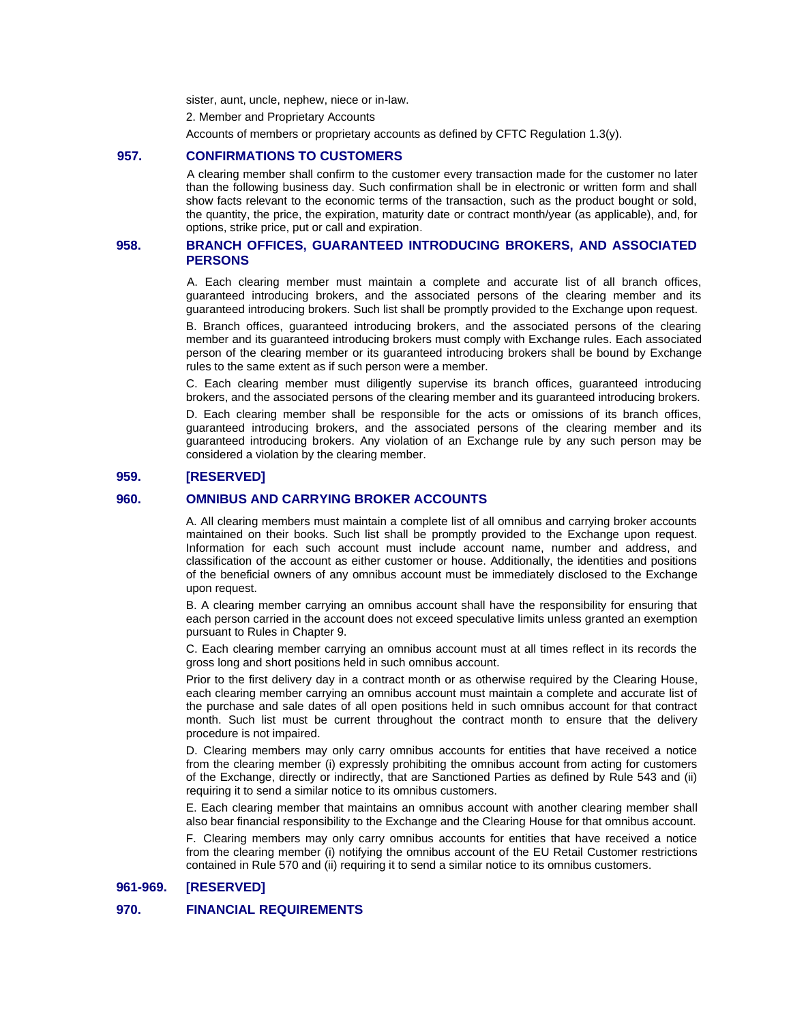sister, aunt, uncle, nephew, niece or in-law.

2. Member and Proprietary Accounts

Accounts of members or proprietary accounts as defined by CFTC Regulation 1.3(y).

## **957. CONFIRMATIONS TO CUSTOMERS**

A clearing member shall confirm to the customer every transaction made for the customer no later than the following business day. Such confirmation shall be in electronic or written form and shall show facts relevant to the economic terms of the transaction, such as the product bought or sold, the quantity, the price, the expiration, maturity date or contract month/year (as applicable), and, for options, strike price, put or call and expiration.

### **958. BRANCH OFFICES, GUARANTEED INTRODUCING BROKERS, AND ASSOCIATED PERSONS**

A. Each clearing member must maintain a complete and accurate list of all branch offices, guaranteed introducing brokers, and the associated persons of the clearing member and its guaranteed introducing brokers. Such list shall be promptly provided to the Exchange upon request.

B. Branch offices, guaranteed introducing brokers, and the associated persons of the clearing member and its guaranteed introducing brokers must comply with Exchange rules. Each associated person of the clearing member or its guaranteed introducing brokers shall be bound by Exchange rules to the same extent as if such person were a member.

C. Each clearing member must diligently supervise its branch offices, guaranteed introducing brokers, and the associated persons of the clearing member and its guaranteed introducing brokers.

D. Each clearing member shall be responsible for the acts or omissions of its branch offices, guaranteed introducing brokers, and the associated persons of the clearing member and its guaranteed introducing brokers. Any violation of an Exchange rule by any such person may be considered a violation by the clearing member.

### **959. [RESERVED]**

### **960. OMNIBUS AND CARRYING BROKER ACCOUNTS**

A. All clearing members must maintain a complete list of all omnibus and carrying broker accounts maintained on their books. Such list shall be promptly provided to the Exchange upon request. Information for each such account must include account name, number and address, and classification of the account as either customer or house. Additionally, the identities and positions of the beneficial owners of any omnibus account must be immediately disclosed to the Exchange upon request.

B. A clearing member carrying an omnibus account shall have the responsibility for ensuring that each person carried in the account does not exceed speculative limits unless granted an exemption pursuant to Rules in Chapter 9.

C. Each clearing member carrying an omnibus account must at all times reflect in its records the gross long and short positions held in such omnibus account.

Prior to the first delivery day in a contract month or as otherwise required by the Clearing House, each clearing member carrying an omnibus account must maintain a complete and accurate list of the purchase and sale dates of all open positions held in such omnibus account for that contract month. Such list must be current throughout the contract month to ensure that the delivery procedure is not impaired.

D. Clearing members may only carry omnibus accounts for entities that have received a notice from the clearing member (i) expressly prohibiting the omnibus account from acting for customers of the Exchange, directly or indirectly, that are Sanctioned Parties as defined by Rule 543 and (ii) requiring it to send a similar notice to its omnibus customers.

E. Each clearing member that maintains an omnibus account with another clearing member shall also bear financial responsibility to the Exchange and the Clearing House for that omnibus account.

F. Clearing members may only carry omnibus accounts for entities that have received a notice from the clearing member (i) notifying the omnibus account of the EU Retail Customer restrictions contained in Rule 570 and (ii) requiring it to send a similar notice to its omnibus customers.

## **961-969. [RESERVED]**

## **970. FINANCIAL REQUIREMENTS**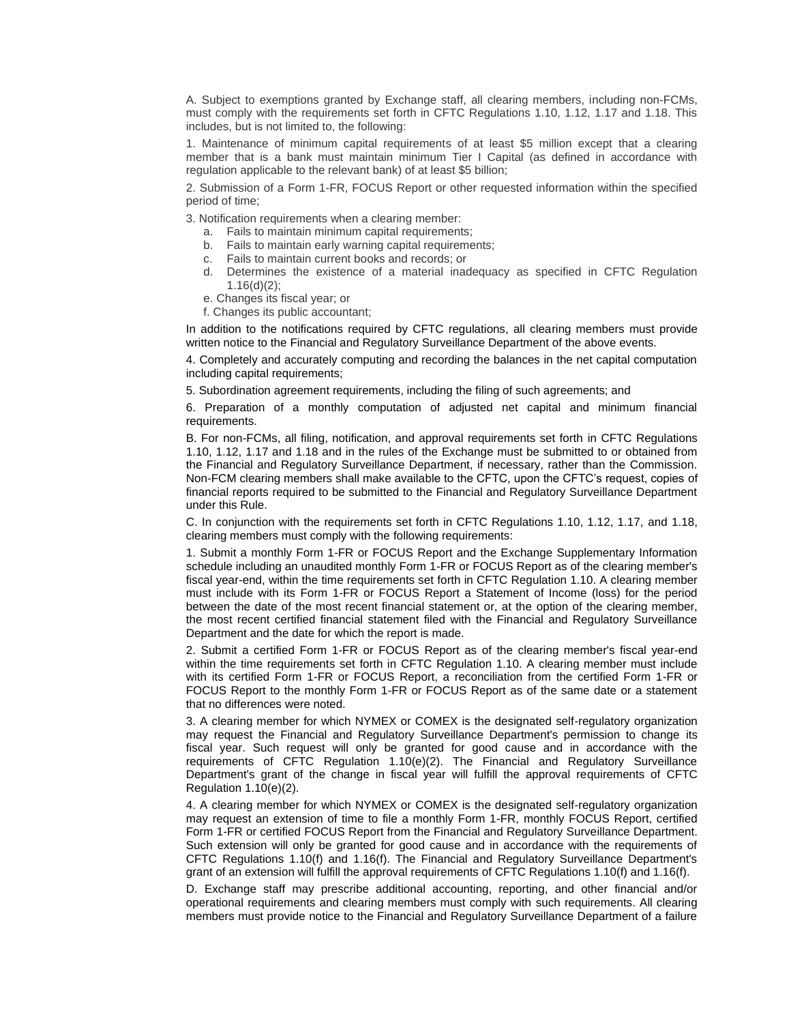A. Subject to exemptions granted by Exchange staff, all clearing members, including non-FCMs, must comply with the requirements set forth in CFTC Regulations 1.10, 1.12, 1.17 and 1.18. This includes, but is not limited to, the following:

1. Maintenance of minimum capital requirements of at least \$5 million except that a clearing member that is a bank must maintain minimum Tier I Capital (as defined in accordance with regulation applicable to the relevant bank) of at least \$5 billion;

2. Submission of a Form 1-FR, FOCUS Report or other requested information within the specified period of time;

3. Notification requirements when a clearing member:

- a. Fails to maintain minimum capital requirements;
- b. Fails to maintain early warning capital requirements;
- c. Fails to maintain current books and records; or
- d. Determines the existence of a material inadequacy as specified in CFTC Regulation 1.16(d)(2);
- e. Changes its fiscal year; or
- f. Changes its public accountant;

In addition to the notifications required by CFTC regulations, all clearing members must provide written notice to the Financial and Regulatory Surveillance Department of the above events.

4. Completely and accurately computing and recording the balances in the net capital computation including capital requirements;

5. Subordination agreement requirements, including the filing of such agreements; and

6. Preparation of a monthly computation of adjusted net capital and minimum financial requirements.

B. For non-FCMs, all filing, notification, and approval requirements set forth in CFTC Regulations 1.10, 1.12, 1.17 and 1.18 and in the rules of the Exchange must be submitted to or obtained from the Financial and Regulatory Surveillance Department, if necessary, rather than the Commission. Non-FCM clearing members shall make available to the CFTC, upon the CFTC's request, copies of financial reports required to be submitted to the Financial and Regulatory Surveillance Department under this Rule.

C. In conjunction with the requirements set forth in CFTC Regulations 1.10, 1.12, 1.17, and 1.18, clearing members must comply with the following requirements:

1. Submit a monthly Form 1-FR or FOCUS Report and the Exchange Supplementary Information schedule including an unaudited monthly Form 1-FR or FOCUS Report as of the clearing member's fiscal year-end, within the time requirements set forth in CFTC Regulation 1.10. A clearing member must include with its Form 1-FR or FOCUS Report a Statement of Income (loss) for the period between the date of the most recent financial statement or, at the option of the clearing member, the most recent certified financial statement filed with the Financial and Regulatory Surveillance Department and the date for which the report is made.

2. Submit a certified Form 1-FR or FOCUS Report as of the clearing member's fiscal year-end within the time requirements set forth in CFTC Regulation 1.10. A clearing member must include with its certified Form 1-FR or FOCUS Report, a reconciliation from the certified Form 1-FR or FOCUS Report to the monthly Form 1-FR or FOCUS Report as of the same date or a statement that no differences were noted.

3. A clearing member for which NYMEX or COMEX is the designated self-regulatory organization may request the Financial and Regulatory Surveillance Department's permission to change its fiscal year. Such request will only be granted for good cause and in accordance with the requirements of CFTC Regulation 1.10(e)(2). The Financial and Regulatory Surveillance Department's grant of the change in fiscal year will fulfill the approval requirements of CFTC Regulation 1.10(e)(2).

4. A clearing member for which NYMEX or COMEX is the designated self-regulatory organization may request an extension of time to file a monthly Form 1-FR, monthly FOCUS Report, certified Form 1-FR or certified FOCUS Report from the Financial and Regulatory Surveillance Department. Such extension will only be granted for good cause and in accordance with the requirements of CFTC Regulations 1.10(f) and 1.16(f). The Financial and Regulatory Surveillance Department's grant of an extension will fulfill the approval requirements of CFTC Regulations 1.10(f) and 1.16(f).

D. Exchange staff may prescribe additional accounting, reporting, and other financial and/or operational requirements and clearing members must comply with such requirements. All clearing members must provide notice to the Financial and Regulatory Surveillance Department of a failure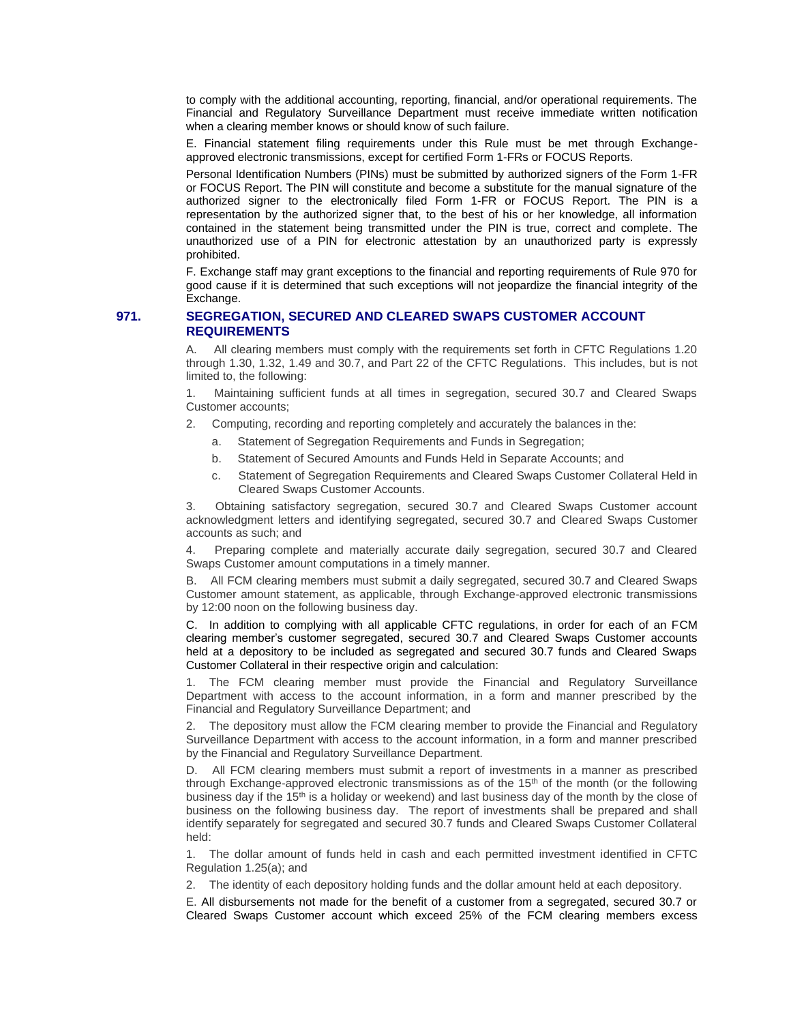to comply with the additional accounting, reporting, financial, and/or operational requirements. The Financial and Regulatory Surveillance Department must receive immediate written notification when a clearing member knows or should know of such failure.

E. Financial statement filing requirements under this Rule must be met through Exchangeapproved electronic transmissions, except for certified Form 1-FRs or FOCUS Reports.

Personal Identification Numbers (PINs) must be submitted by authorized signers of the Form 1-FR or FOCUS Report. The PIN will constitute and become a substitute for the manual signature of the authorized signer to the electronically filed Form 1-FR or FOCUS Report. The PIN is a representation by the authorized signer that, to the best of his or her knowledge, all information contained in the statement being transmitted under the PIN is true, correct and complete. The unauthorized use of a PIN for electronic attestation by an unauthorized party is expressly prohibited.

F. Exchange staff may grant exceptions to the financial and reporting requirements of Rule 970 for good cause if it is determined that such exceptions will not jeopardize the financial integrity of the Exchange.

## **971. SEGREGATION, SECURED AND CLEARED SWAPS CUSTOMER ACCOUNT REQUIREMENTS**

A. All clearing members must comply with the requirements set forth in CFTC Regulations 1.20 through 1.30, 1.32, 1.49 and 30.7, and Part 22 of the CFTC Regulations. This includes, but is not limited to, the following:

1. Maintaining sufficient funds at all times in segregation, secured 30.7 and Cleared Swaps Customer accounts;

2. Computing, recording and reporting completely and accurately the balances in the:

- a. Statement of Segregation Requirements and Funds in Segregation;
- b. Statement of Secured Amounts and Funds Held in Separate Accounts; and
- c. Statement of Segregation Requirements and Cleared Swaps Customer Collateral Held in Cleared Swaps Customer Accounts.

3. Obtaining satisfactory segregation, secured 30.7 and Cleared Swaps Customer account acknowledgment letters and identifying segregated, secured 30.7 and Cleared Swaps Customer accounts as such; and

4. Preparing complete and materially accurate daily segregation, secured 30.7 and Cleared Swaps Customer amount computations in a timely manner.

B. All FCM clearing members must submit a daily segregated, secured 30.7 and Cleared Swaps Customer amount statement, as applicable, through Exchange-approved electronic transmissions by 12:00 noon on the following business day.

C. In addition to complying with all applicable CFTC regulations, in order for each of an FCM clearing member's customer segregated, secured 30.7 and Cleared Swaps Customer accounts held at a depository to be included as segregated and secured 30.7 funds and Cleared Swaps Customer Collateral in their respective origin and calculation:

1. The FCM clearing member must provide the Financial and Regulatory Surveillance Department with access to the account information, in a form and manner prescribed by the Financial and Regulatory Surveillance Department; and

2. The depository must allow the FCM clearing member to provide the Financial and Regulatory Surveillance Department with access to the account information, in a form and manner prescribed by the Financial and Regulatory Surveillance Department.

D. All FCM clearing members must submit a report of investments in a manner as prescribed through Exchange-approved electronic transmissions as of the  $15<sup>th</sup>$  of the month (or the following business day if the 15<sup>th</sup> is a holiday or weekend) and last business day of the month by the close of business on the following business day. The report of investments shall be prepared and shall identify separately for segregated and secured 30.7 funds and Cleared Swaps Customer Collateral held:

1. The dollar amount of funds held in cash and each permitted investment identified in CFTC Regulation 1.25(a); and

2. The identity of each depository holding funds and the dollar amount held at each depository.

E. All disbursements not made for the benefit of a customer from a segregated, secured 30.7 or Cleared Swaps Customer account which exceed 25% of the FCM clearing members excess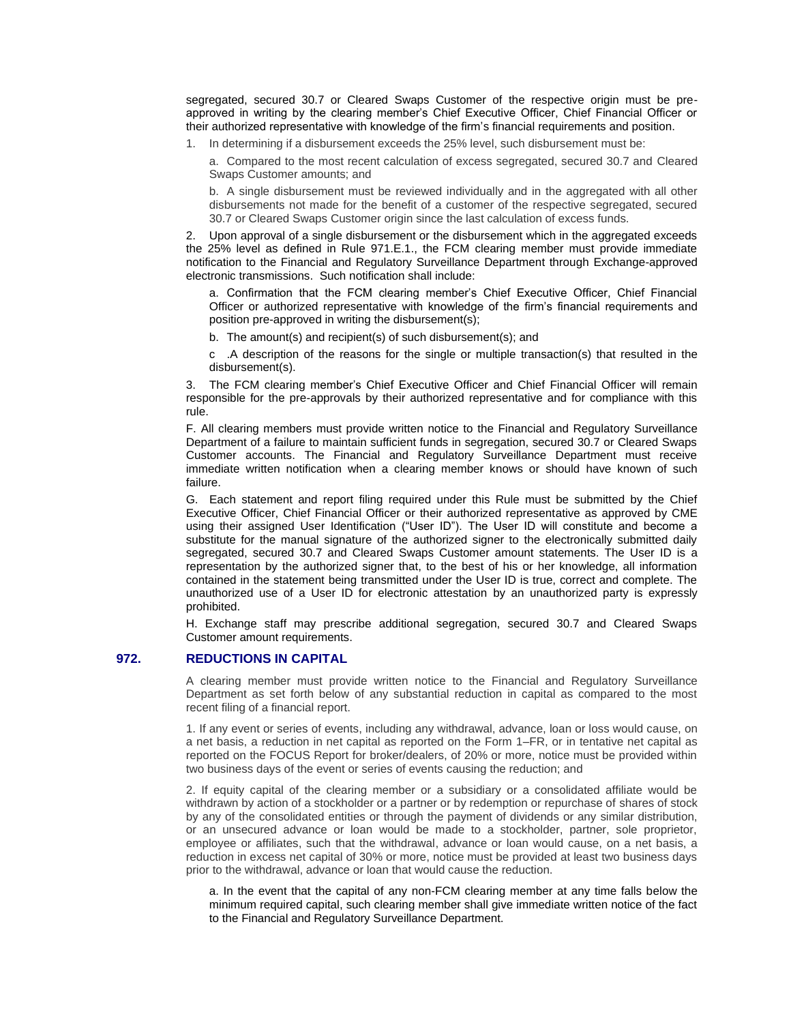segregated, secured 30.7 or Cleared Swaps Customer of the respective origin must be preapproved in writing by the clearing member's Chief Executive Officer, Chief Financial Officer or their authorized representative with knowledge of the firm's financial requirements and position.

1. In determining if a disbursement exceeds the 25% level, such disbursement must be:

a. Compared to the most recent calculation of excess segregated, secured 30.7 and Cleared Swaps Customer amounts; and

b. A single disbursement must be reviewed individually and in the aggregated with all other disbursements not made for the benefit of a customer of the respective segregated, secured 30.7 or Cleared Swaps Customer origin since the last calculation of excess funds.

2. Upon approval of a single disbursement or the disbursement which in the aggregated exceeds the 25% level as defined in Rule 971.E.1., the FCM clearing member must provide immediate notification to the Financial and Regulatory Surveillance Department through Exchange-approved electronic transmissions. Such notification shall include:

a. Confirmation that the FCM clearing member's Chief Executive Officer, Chief Financial Officer or authorized representative with knowledge of the firm's financial requirements and position pre-approved in writing the disbursement(s);

- b. The amount(s) and recipient(s) of such disbursement(s); and
- c .A description of the reasons for the single or multiple transaction(s) that resulted in the disbursement(s).

3. The FCM clearing member's Chief Executive Officer and Chief Financial Officer will remain responsible for the pre-approvals by their authorized representative and for compliance with this rule.

F. All clearing members must provide written notice to the Financial and Regulatory Surveillance Department of a failure to maintain sufficient funds in segregation, secured 30.7 or Cleared Swaps Customer accounts. The Financial and Regulatory Surveillance Department must receive immediate written notification when a clearing member knows or should have known of such failure.

G. Each statement and report filing required under this Rule must be submitted by the Chief Executive Officer, Chief Financial Officer or their authorized representative as approved by CME using their assigned User Identification ("User ID"). The User ID will constitute and become a substitute for the manual signature of the authorized signer to the electronically submitted daily segregated, secured 30.7 and Cleared Swaps Customer amount statements. The User ID is a representation by the authorized signer that, to the best of his or her knowledge, all information contained in the statement being transmitted under the User ID is true, correct and complete. The unauthorized use of a User ID for electronic attestation by an unauthorized party is expressly prohibited.

H. Exchange staff may prescribe additional segregation, secured 30.7 and Cleared Swaps Customer amount requirements.

## **972. REDUCTIONS IN CAPITAL**

A clearing member must provide written notice to the Financial and Regulatory Surveillance Department as set forth below of any substantial reduction in capital as compared to the most recent filing of a financial report.

1. If any event or series of events, including any withdrawal, advance, loan or loss would cause, on a net basis, a reduction in net capital as reported on the Form 1–FR, or in tentative net capital as reported on the FOCUS Report for broker/dealers, of 20% or more, notice must be provided within two business days of the event or series of events causing the reduction; and

2. If equity capital of the clearing member or a subsidiary or a consolidated affiliate would be withdrawn by action of a stockholder or a partner or by redemption or repurchase of shares of stock by any of the consolidated entities or through the payment of dividends or any similar distribution, or an unsecured advance or loan would be made to a stockholder, partner, sole proprietor, employee or affiliates, such that the withdrawal, advance or loan would cause, on a net basis, a reduction in excess net capital of 30% or more, notice must be provided at least two business days prior to the withdrawal, advance or loan that would cause the reduction.

a. In the event that the capital of any non-FCM clearing member at any time falls below the minimum required capital, such clearing member shall give immediate written notice of the fact to the Financial and Regulatory Surveillance Department.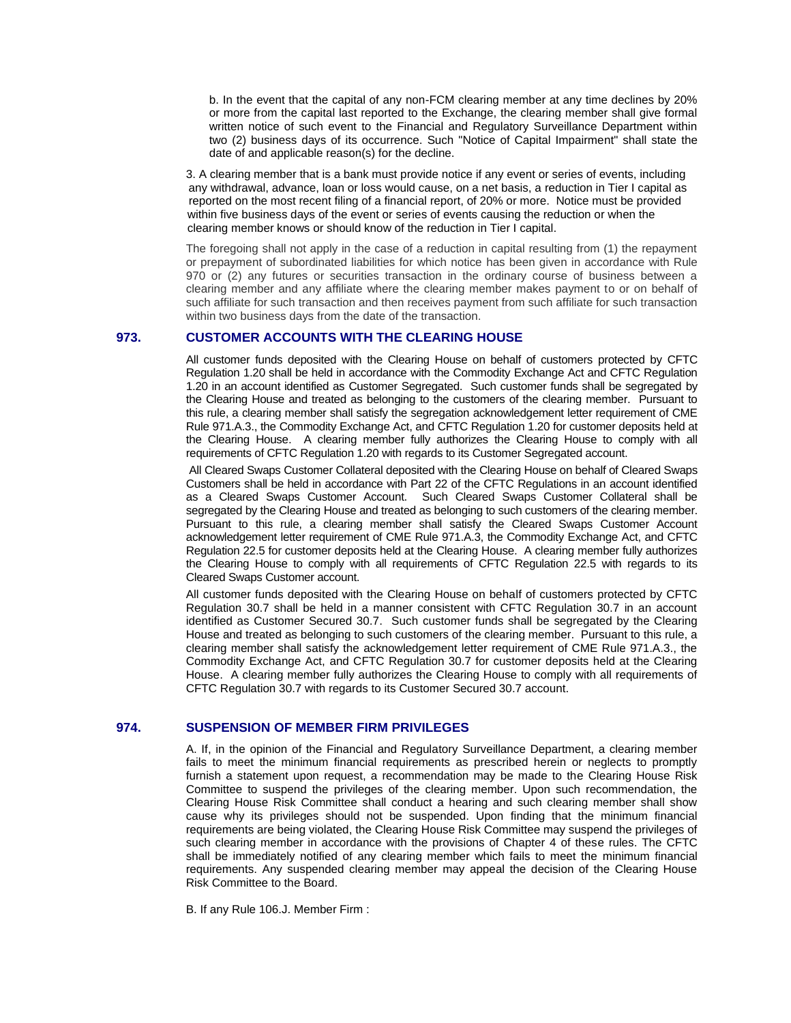b. In the event that the capital of any non-FCM clearing member at any time declines by 20% or more from the capital last reported to the Exchange, the clearing member shall give formal written notice of such event to the Financial and Regulatory Surveillance Department within two (2) business days of its occurrence. Such "Notice of Capital Impairment" shall state the date of and applicable reason(s) for the decline.

 3. A clearing member that is a bank must provide notice if any event or series of events, including any withdrawal, advance, loan or loss would cause, on a net basis, a reduction in Tier I capital as reported on the most recent filing of a financial report, of 20% or more. Notice must be provided within five business days of the event or series of events causing the reduction or when the clearing member knows or should know of the reduction in Tier I capital.

The foregoing shall not apply in the case of a reduction in capital resulting from (1) the repayment or prepayment of subordinated liabilities for which notice has been given in accordance with Rule 970 or (2) any futures or securities transaction in the ordinary course of business between a clearing member and any affiliate where the clearing member makes payment to or on behalf of such affiliate for such transaction and then receives payment from such affiliate for such transaction within two business days from the date of the transaction.

### **973. CUSTOMER ACCOUNTS WITH THE CLEARING HOUSE**

All customer funds deposited with the Clearing House on behalf of customers protected by CFTC Regulation 1.20 shall be held in accordance with the Commodity Exchange Act and CFTC Regulation 1.20 in an account identified as Customer Segregated. Such customer funds shall be segregated by the Clearing House and treated as belonging to the customers of the clearing member. Pursuant to this rule, a clearing member shall satisfy the segregation acknowledgement letter requirement of CME Rule 971.A.3., the Commodity Exchange Act, and CFTC Regulation 1.20 for customer deposits held at the Clearing House. A clearing member fully authorizes the Clearing House to comply with all requirements of CFTC Regulation 1.20 with regards to its Customer Segregated account.

All Cleared Swaps Customer Collateral deposited with the Clearing House on behalf of Cleared Swaps Customers shall be held in accordance with Part 22 of the CFTC Regulations in an account identified as a Cleared Swaps Customer Account. Such Cleared Swaps Customer Collateral shall be segregated by the Clearing House and treated as belonging to such customers of the clearing member. Pursuant to this rule, a clearing member shall satisfy the Cleared Swaps Customer Account acknowledgement letter requirement of CME Rule 971.A.3, the Commodity Exchange Act, and CFTC Regulation 22.5 for customer deposits held at the Clearing House. A clearing member fully authorizes the Clearing House to comply with all requirements of CFTC Regulation 22.5 with regards to its Cleared Swaps Customer account.

All customer funds deposited with the Clearing House on behalf of customers protected by CFTC Regulation 30.7 shall be held in a manner consistent with CFTC Regulation 30.7 in an account identified as Customer Secured 30.7. Such customer funds shall be segregated by the Clearing House and treated as belonging to such customers of the clearing member. Pursuant to this rule, a clearing member shall satisfy the acknowledgement letter requirement of CME Rule 971.A.3., the Commodity Exchange Act, and CFTC Regulation 30.7 for customer deposits held at the Clearing House. A clearing member fully authorizes the Clearing House to comply with all requirements of CFTC Regulation 30.7 with regards to its Customer Secured 30.7 account.

### **974. SUSPENSION OF MEMBER FIRM PRIVILEGES**

A. If, in the opinion of the Financial and Regulatory Surveillance Department, a clearing member fails to meet the minimum financial requirements as prescribed herein or neglects to promptly furnish a statement upon request, a recommendation may be made to the Clearing House Risk Committee to suspend the privileges of the clearing member. Upon such recommendation, the Clearing House Risk Committee shall conduct a hearing and such clearing member shall show cause why its privileges should not be suspended. Upon finding that the minimum financial requirements are being violated, the Clearing House Risk Committee may suspend the privileges of such clearing member in accordance with the provisions of Chapter 4 of these rules. The CFTC shall be immediately notified of any clearing member which fails to meet the minimum financial requirements. Any suspended clearing member may appeal the decision of the Clearing House Risk Committee to the Board.

B. If any Rule 106.J. Member Firm :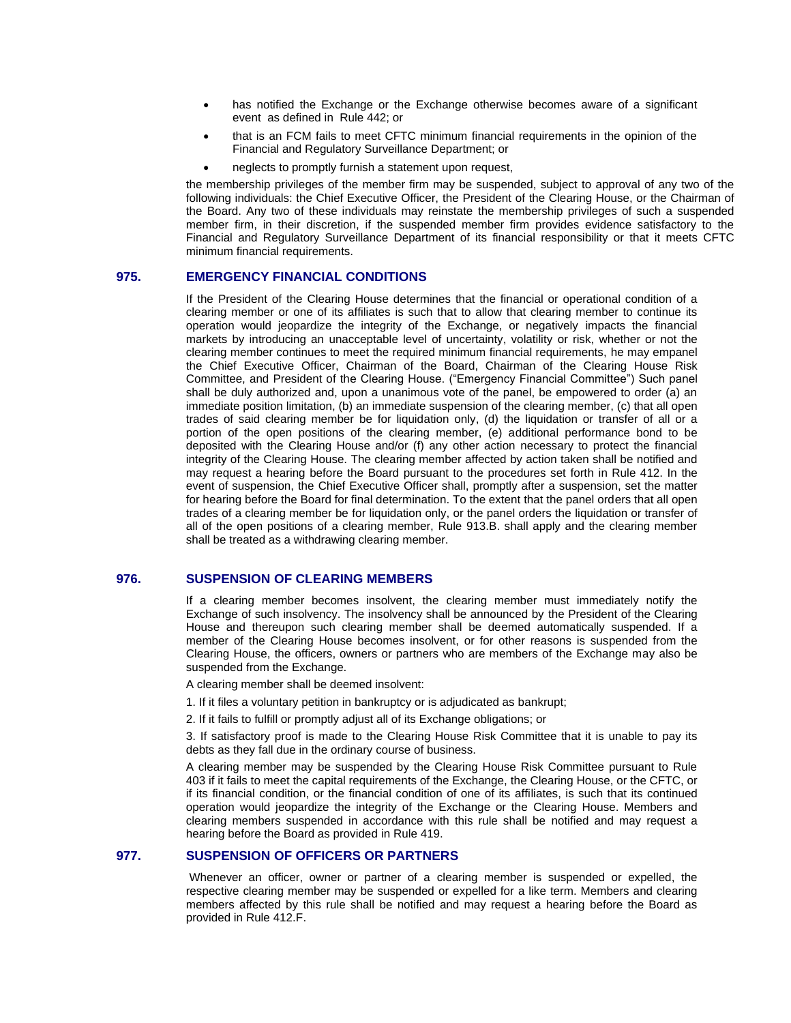- has notified the Exchange or the Exchange otherwise becomes aware of a significant event as defined in Rule 442; or
- that is an FCM fails to meet CFTC minimum financial requirements in the opinion of the Financial and Regulatory Surveillance Department; or
- neglects to promptly furnish a statement upon request,

the membership privileges of the member firm may be suspended, subject to approval of any two of the following individuals: the Chief Executive Officer, the President of the Clearing House, or the Chairman of the Board. Any two of these individuals may reinstate the membership privileges of such a suspended member firm, in their discretion, if the suspended member firm provides evidence satisfactory to the Financial and Regulatory Surveillance Department of its financial responsibility or that it meets CFTC minimum financial requirements.

## **975. EMERGENCY FINANCIAL CONDITIONS**

If the President of the Clearing House determines that the financial or operational condition of a clearing member or one of its affiliates is such that to allow that clearing member to continue its operation would jeopardize the integrity of the Exchange, or negatively impacts the financial markets by introducing an unacceptable level of uncertainty, volatility or risk, whether or not the clearing member continues to meet the required minimum financial requirements, he may empanel the Chief Executive Officer, Chairman of the Board, Chairman of the Clearing House Risk Committee, and President of the Clearing House. ("Emergency Financial Committee") Such panel shall be duly authorized and, upon a unanimous vote of the panel, be empowered to order (a) an immediate position limitation, (b) an immediate suspension of the clearing member, (c) that all open trades of said clearing member be for liquidation only, (d) the liquidation or transfer of all or a portion of the open positions of the clearing member, (e) additional performance bond to be deposited with the Clearing House and/or (f) any other action necessary to protect the financial integrity of the Clearing House. The clearing member affected by action taken shall be notified and may request a hearing before the Board pursuant to the procedures set forth in Rule 412. In the event of suspension, the Chief Executive Officer shall, promptly after a suspension, set the matter for hearing before the Board for final determination. To the extent that the panel orders that all open trades of a clearing member be for liquidation only, or the panel orders the liquidation or transfer of all of the open positions of a clearing member, Rule 913.B. shall apply and the clearing member shall be treated as a withdrawing clearing member.

### **976. SUSPENSION OF CLEARING MEMBERS**

If a clearing member becomes insolvent, the clearing member must immediately notify the Exchange of such insolvency. The insolvency shall be announced by the President of the Clearing House and thereupon such clearing member shall be deemed automatically suspended. If a member of the Clearing House becomes insolvent, or for other reasons is suspended from the Clearing House, the officers, owners or partners who are members of the Exchange may also be suspended from the Exchange.

A clearing member shall be deemed insolvent:

- 1. If it files a voluntary petition in bankruptcy or is adjudicated as bankrupt;
- 2. If it fails to fulfill or promptly adjust all of its Exchange obligations; or

3. If satisfactory proof is made to the Clearing House Risk Committee that it is unable to pay its debts as they fall due in the ordinary course of business.

A clearing member may be suspended by the Clearing House Risk Committee pursuant to Rule 403 if it fails to meet the capital requirements of the Exchange, the Clearing House, or the CFTC, or if its financial condition, or the financial condition of one of its affiliates, is such that its continued operation would jeopardize the integrity of the Exchange or the Clearing House. Members and clearing members suspended in accordance with this rule shall be notified and may request a hearing before the Board as provided in Rule 419.

### **977. SUSPENSION OF OFFICERS OR PARTNERS**

Whenever an officer, owner or partner of a clearing member is suspended or expelled, the respective clearing member may be suspended or expelled for a like term. Members and clearing members affected by this rule shall be notified and may request a hearing before the Board as provided in Rule 412.F.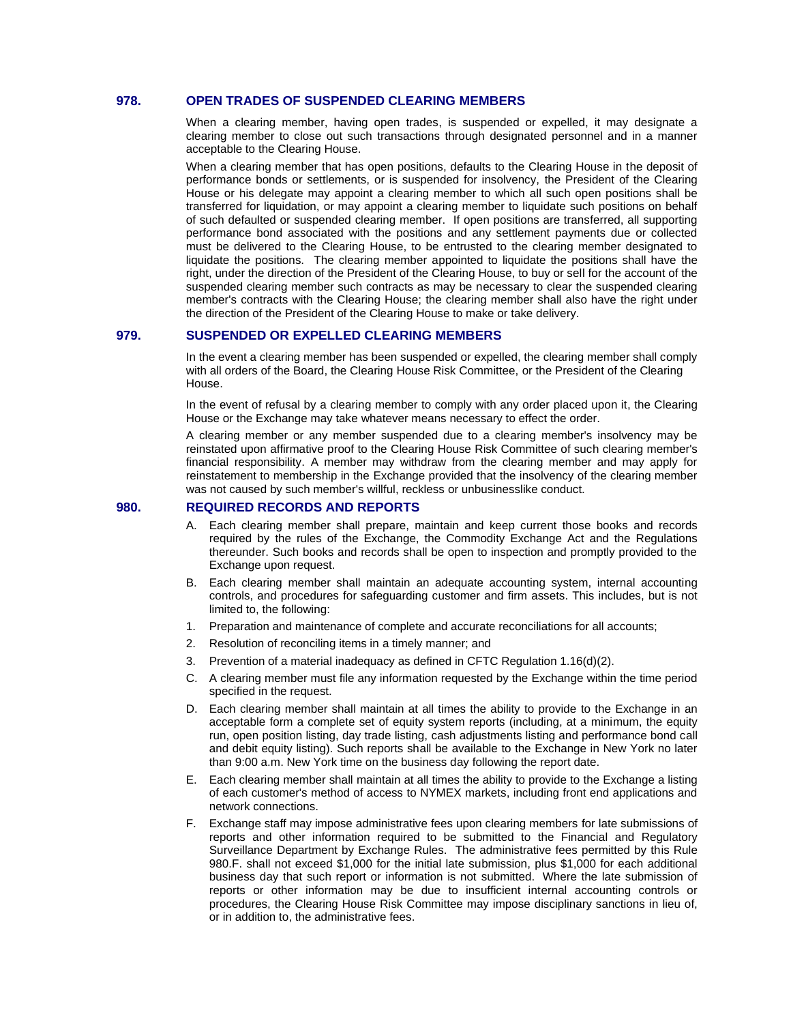### **978. OPEN TRADES OF SUSPENDED CLEARING MEMBERS**

When a clearing member, having open trades, is suspended or expelled, it may designate a clearing member to close out such transactions through designated personnel and in a manner acceptable to the Clearing House.

When a clearing member that has open positions, defaults to the Clearing House in the deposit of performance bonds or settlements, or is suspended for insolvency, the President of the Clearing House or his delegate may appoint a clearing member to which all such open positions shall be transferred for liquidation, or may appoint a clearing member to liquidate such positions on behalf of such defaulted or suspended clearing member. If open positions are transferred, all supporting performance bond associated with the positions and any settlement payments due or collected must be delivered to the Clearing House, to be entrusted to the clearing member designated to liquidate the positions. The clearing member appointed to liquidate the positions shall have the right, under the direction of the President of the Clearing House, to buy or sell for the account of the suspended clearing member such contracts as may be necessary to clear the suspended clearing member's contracts with the Clearing House; the clearing member shall also have the right under the direction of the President of the Clearing House to make or take delivery.

### **979. SUSPENDED OR EXPELLED CLEARING MEMBERS**

In the event a clearing member has been suspended or expelled, the clearing member shall comply with all orders of the Board, the Clearing House Risk Committee, or the President of the Clearing House.

In the event of refusal by a clearing member to comply with any order placed upon it, the Clearing House or the Exchange may take whatever means necessary to effect the order.

A clearing member or any member suspended due to a clearing member's insolvency may be reinstated upon affirmative proof to the Clearing House Risk Committee of such clearing member's financial responsibility. A member may withdraw from the clearing member and may apply for reinstatement to membership in the Exchange provided that the insolvency of the clearing member was not caused by such member's willful, reckless or unbusinesslike conduct.

### **980. REQUIRED RECORDS AND REPORTS**

- Each clearing member shall prepare, maintain and keep current those books and records required by the rules of the Exchange, the Commodity Exchange Act and the Regulations thereunder. Such books and records shall be open to inspection and promptly provided to the Exchange upon request.
- B. Each clearing member shall maintain an adequate accounting system, internal accounting controls, and procedures for safeguarding customer and firm assets. This includes, but is not limited to, the following:
- 1. Preparation and maintenance of complete and accurate reconciliations for all accounts;
- 2. Resolution of reconciling items in a timely manner; and
- 3. Prevention of a material inadequacy as defined in CFTC Regulation 1.16(d)(2).
- C. A clearing member must file any information requested by the Exchange within the time period specified in the request.
- D. Each clearing member shall maintain at all times the ability to provide to the Exchange in an acceptable form a complete set of equity system reports (including, at a minimum, the equity run, open position listing, day trade listing, cash adjustments listing and performance bond call and debit equity listing). Such reports shall be available to the Exchange in New York no later than 9:00 a.m. New York time on the business day following the report date.
- E. Each clearing member shall maintain at all times the ability to provide to the Exchange a listing of each customer's method of access to NYMEX markets, including front end applications and network connections.
- F. Exchange staff may impose administrative fees upon clearing members for late submissions of reports and other information required to be submitted to the Financial and Regulatory Surveillance Department by Exchange Rules. The administrative fees permitted by this Rule 980.F. shall not exceed \$1,000 for the initial late submission, plus \$1,000 for each additional business day that such report or information is not submitted. Where the late submission of reports or other information may be due to insufficient internal accounting controls or procedures, the Clearing House Risk Committee may impose disciplinary sanctions in lieu of, or in addition to, the administrative fees.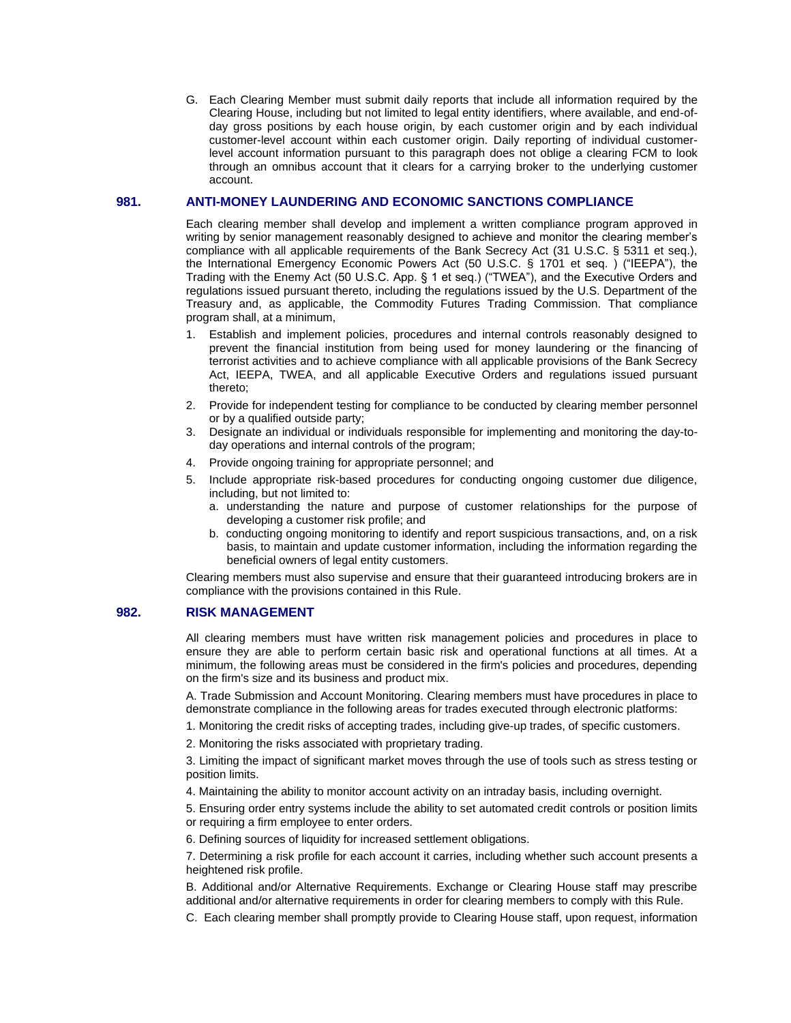G. Each Clearing Member must submit daily reports that include all information required by the Clearing House, including but not limited to legal entity identifiers, where available, and end-ofday gross positions by each house origin, by each customer origin and by each individual customer-level account within each customer origin. Daily reporting of individual customerlevel account information pursuant to this paragraph does not oblige a clearing FCM to look through an omnibus account that it clears for a carrying broker to the underlying customer account.

## **981. ANTI-MONEY LAUNDERING AND ECONOMIC SANCTIONS COMPLIANCE**

Each clearing member shall develop and implement a written compliance program approved in writing by senior management reasonably designed to achieve and monitor the clearing member's compliance with all applicable requirements of the Bank Secrecy Act (31 U.S.C. § 5311 et seq.), the International Emergency Economic Powers Act (50 U.S.C. § 1701 et seq. ) ("IEEPA"), the Trading with the Enemy Act (50 U.S.C. App. § 1 et seq.) ("TWEA"), and the Executive Orders and regulations issued pursuant thereto, including the regulations issued by the U.S. Department of the Treasury and, as applicable, the Commodity Futures Trading Commission. That compliance program shall, at a minimum,

- 1. Establish and implement policies, procedures and internal controls reasonably designed to prevent the financial institution from being used for money laundering or the financing of terrorist activities and to achieve compliance with all applicable provisions of the Bank Secrecy Act, IEEPA, TWEA, and all applicable Executive Orders and regulations issued pursuant thereto;
- 2. Provide for independent testing for compliance to be conducted by clearing member personnel or by a qualified outside party;
- 3. Designate an individual or individuals responsible for implementing and monitoring the day-today operations and internal controls of the program;
- 4. Provide ongoing training for appropriate personnel; and
- 5. Include appropriate risk-based procedures for conducting ongoing customer due diligence, including, but not limited to:
	- a. understanding the nature and purpose of customer relationships for the purpose of developing a customer risk profile; and
	- b. conducting ongoing monitoring to identify and report suspicious transactions, and, on a risk basis, to maintain and update customer information, including the information regarding the beneficial owners of legal entity customers.

Clearing members must also supervise and ensure that their guaranteed introducing brokers are in compliance with the provisions contained in this Rule.

## **982. RISK MANAGEMENT**

All clearing members must have written risk management policies and procedures in place to ensure they are able to perform certain basic risk and operational functions at all times. At a minimum, the following areas must be considered in the firm's policies and procedures, depending on the firm's size and its business and product mix.

A. Trade Submission and Account Monitoring. Clearing members must have procedures in place to demonstrate compliance in the following areas for trades executed through electronic platforms:

1. Monitoring the credit risks of accepting trades, including give-up trades, of specific customers.

2. Monitoring the risks associated with proprietary trading.

3. Limiting the impact of significant market moves through the use of tools such as stress testing or position limits.

4. Maintaining the ability to monitor account activity on an intraday basis, including overnight.

5. Ensuring order entry systems include the ability to set automated credit controls or position limits or requiring a firm employee to enter orders.

6. Defining sources of liquidity for increased settlement obligations.

7. Determining a risk profile for each account it carries, including whether such account presents a heightened risk profile.

B. Additional and/or Alternative Requirements. Exchange or Clearing House staff may prescribe additional and/or alternative requirements in order for clearing members to comply with this Rule.

C. Each clearing member shall promptly provide to Clearing House staff, upon request, information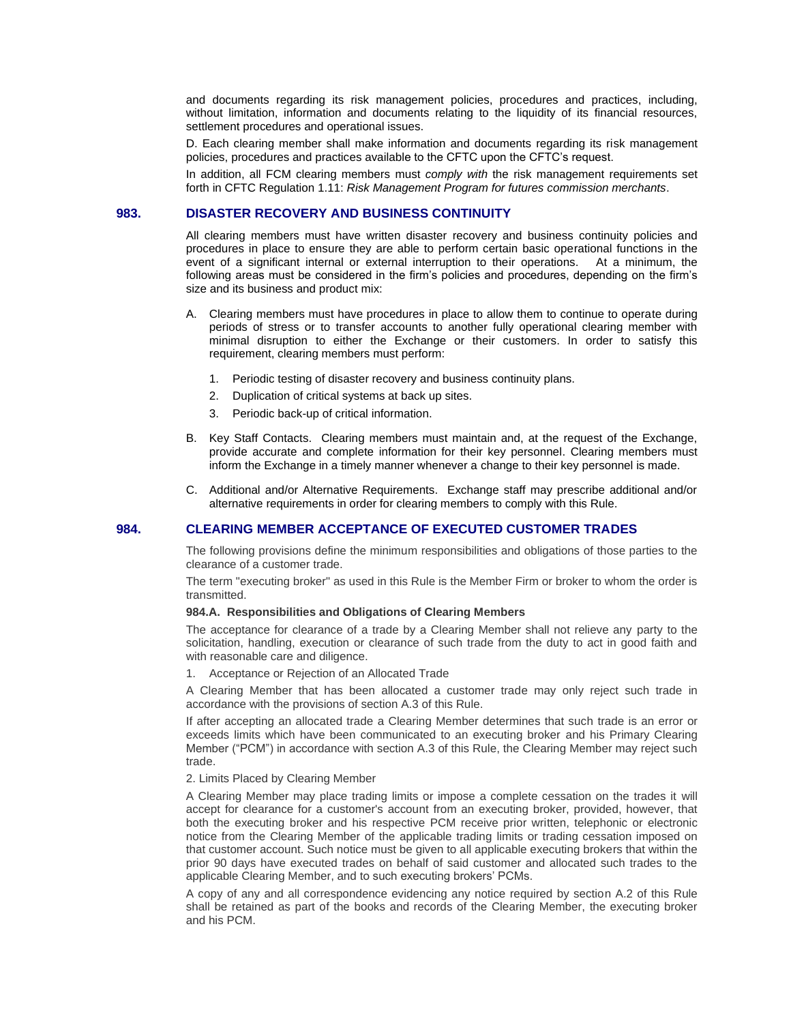and documents regarding its risk management policies, procedures and practices, including, without limitation, information and documents relating to the liquidity of its financial resources, settlement procedures and operational issues.

D. Each clearing member shall make information and documents regarding its risk management policies, procedures and practices available to the CFTC upon the CFTC's request.

In addition, all FCM clearing members must *comply with* the risk management requirements set forth in CFTC Regulation 1.11: *Risk Management Program for futures commission merchants*.

## **983. DISASTER RECOVERY AND BUSINESS CONTINUITY**

All clearing members must have written disaster recovery and business continuity policies and procedures in place to ensure they are able to perform certain basic operational functions in the event of a significant internal or external interruption to their operations. At a minimum, the following areas must be considered in the firm's policies and procedures, depending on the firm's size and its business and product mix:

- A. Clearing members must have procedures in place to allow them to continue to operate during periods of stress or to transfer accounts to another fully operational clearing member with minimal disruption to either the Exchange or their customers. In order to satisfy this requirement, clearing members must perform:
	- 1. Periodic testing of disaster recovery and business continuity plans.
	- 2. Duplication of critical systems at back up sites.
	- 3. Periodic back-up of critical information.
- B. Key Staff Contacts. Clearing members must maintain and, at the request of the Exchange, provide accurate and complete information for their key personnel. Clearing members must inform the Exchange in a timely manner whenever a change to their key personnel is made.
- C. Additional and/or Alternative Requirements. Exchange staff may prescribe additional and/or alternative requirements in order for clearing members to comply with this Rule.

## **984. CLEARING MEMBER ACCEPTANCE OF EXECUTED CUSTOMER TRADES**

The following provisions define the minimum responsibilities and obligations of those parties to the clearance of a customer trade.

The term "executing broker" as used in this Rule is the Member Firm or broker to whom the order is transmitted.

### **984.A. Responsibilities and Obligations of Clearing Members**

The acceptance for clearance of a trade by a Clearing Member shall not relieve any party to the solicitation, handling, execution or clearance of such trade from the duty to act in good faith and with reasonable care and diligence.

1. Acceptance or Rejection of an Allocated Trade

A Clearing Member that has been allocated a customer trade may only reject such trade in accordance with the provisions of section A.3 of this Rule.

If after accepting an allocated trade a Clearing Member determines that such trade is an error or exceeds limits which have been communicated to an executing broker and his Primary Clearing Member ("PCM") in accordance with section A.3 of this Rule, the Clearing Member may reject such trade.

### 2. Limits Placed by Clearing Member

A Clearing Member may place trading limits or impose a complete cessation on the trades it will accept for clearance for a customer's account from an executing broker, provided, however, that both the executing broker and his respective PCM receive prior written, telephonic or electronic notice from the Clearing Member of the applicable trading limits or trading cessation imposed on that customer account. Such notice must be given to all applicable executing brokers that within the prior 90 days have executed trades on behalf of said customer and allocated such trades to the applicable Clearing Member, and to such executing brokers' PCMs.

A copy of any and all correspondence evidencing any notice required by section A.2 of this Rule shall be retained as part of the books and records of the Clearing Member, the executing broker and his PCM.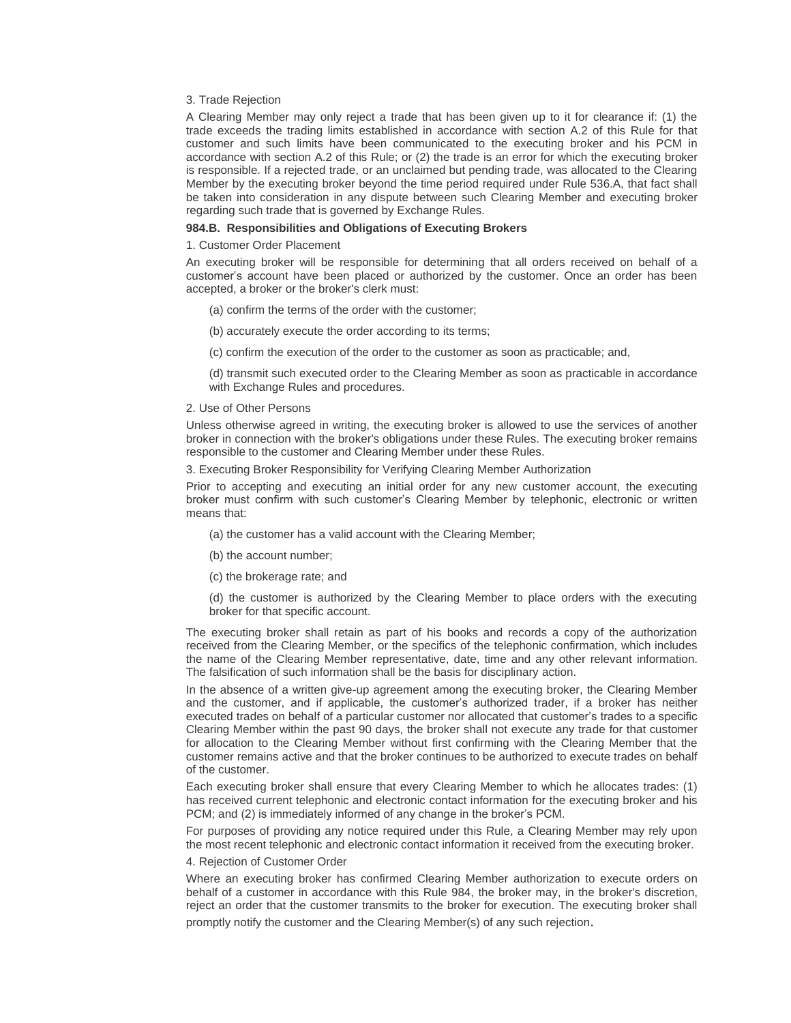### 3. Trade Rejection

A Clearing Member may only reject a trade that has been given up to it for clearance if: (1) the trade exceeds the trading limits established in accordance with section A.2 of this Rule for that customer and such limits have been communicated to the executing broker and his PCM in accordance with section A.2 of this Rule; or (2) the trade is an error for which the executing broker is responsible. If a rejected trade, or an unclaimed but pending trade, was allocated to the Clearing Member by the executing broker beyond the time period required under Rule 536.A, that fact shall be taken into consideration in any dispute between such Clearing Member and executing broker regarding such trade that is governed by Exchange Rules.

#### **984.B. Responsibilities and Obligations of Executing Brokers**

#### 1. Customer Order Placement

An executing broker will be responsible for determining that all orders received on behalf of a customer's account have been placed or authorized by the customer. Once an order has been accepted, a broker or the broker's clerk must:

- (a) confirm the terms of the order with the customer;
- (b) accurately execute the order according to its terms;
- (c) confirm the execution of the order to the customer as soon as practicable; and,

(d) transmit such executed order to the Clearing Member as soon as practicable in accordance with Exchange Rules and procedures.

#### 2. Use of Other Persons

Unless otherwise agreed in writing, the executing broker is allowed to use the services of another broker in connection with the broker's obligations under these Rules. The executing broker remains responsible to the customer and Clearing Member under these Rules.

3. Executing Broker Responsibility for Verifying Clearing Member Authorization

Prior to accepting and executing an initial order for any new customer account, the executing broker must confirm with such customer's Clearing Member by telephonic, electronic or written means that:

- (a) the customer has a valid account with the Clearing Member;
- (b) the account number;
- (c) the brokerage rate; and

(d) the customer is authorized by the Clearing Member to place orders with the executing broker for that specific account.

The executing broker shall retain as part of his books and records a copy of the authorization received from the Clearing Member, or the specifics of the telephonic confirmation, which includes the name of the Clearing Member representative, date, time and any other relevant information. The falsification of such information shall be the basis for disciplinary action.

In the absence of a written give-up agreement among the executing broker, the Clearing Member and the customer, and if applicable, the customer's authorized trader, if a broker has neither executed trades on behalf of a particular customer nor allocated that customer's trades to a specific Clearing Member within the past 90 days, the broker shall not execute any trade for that customer for allocation to the Clearing Member without first confirming with the Clearing Member that the customer remains active and that the broker continues to be authorized to execute trades on behalf of the customer.

Each executing broker shall ensure that every Clearing Member to which he allocates trades: (1) has received current telephonic and electronic contact information for the executing broker and his PCM; and (2) is immediately informed of any change in the broker's PCM.

For purposes of providing any notice required under this Rule, a Clearing Member may rely upon the most recent telephonic and electronic contact information it received from the executing broker.

#### 4. Rejection of Customer Order

Where an executing broker has confirmed Clearing Member authorization to execute orders on behalf of a customer in accordance with this Rule 984, the broker may, in the broker's discretion, reject an order that the customer transmits to the broker for execution. The executing broker shall promptly notify the customer and the Clearing Member(s) of any such rejection.